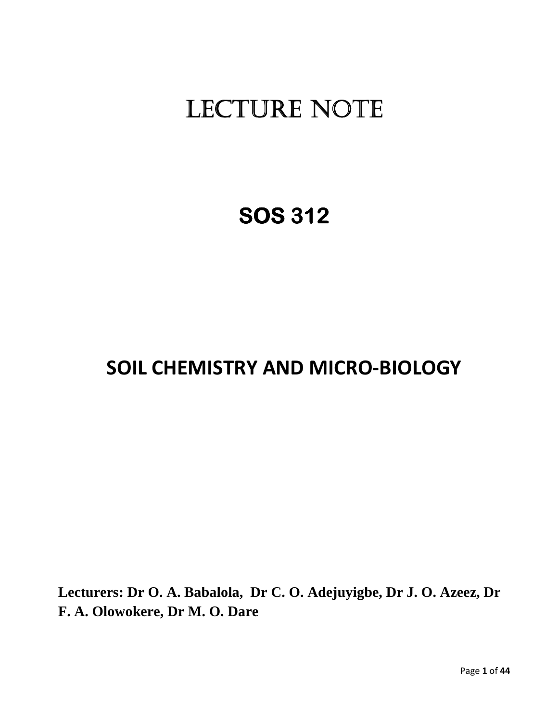# LECTURE NOTE

# **SOS 312**

# **SOIL CHEMISTRY AND MICRO-BIOLOGY**

**Lecturers: Dr O. A. Babalola, Dr C. O. Adejuyigbe, Dr J. O. Azeez, Dr F. A. Olowokere, Dr M. O. Dare**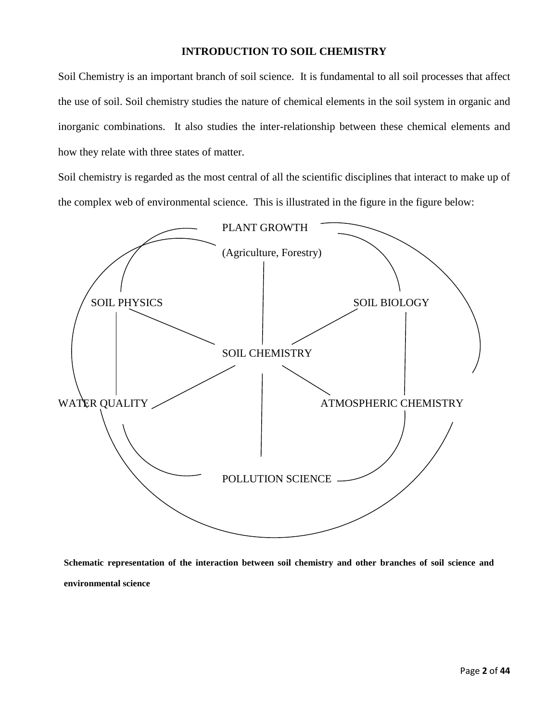## **INTRODUCTION TO SOIL CHEMISTRY**

Soil Chemistry is an important branch of soil science. It is fundamental to all soil processes that affect the use of soil. Soil chemistry studies the nature of chemical elements in the soil system in organic and inorganic combinations. It also studies the inter-relationship between these chemical elements and how they relate with three states of matter.

Soil chemistry is regarded as the most central of all the scientific disciplines that interact to make up of the complex web of environmental science. This is illustrated in the figure in the figure below:



**Schematic representation of the interaction between soil chemistry and other branches of soil science and environmental science**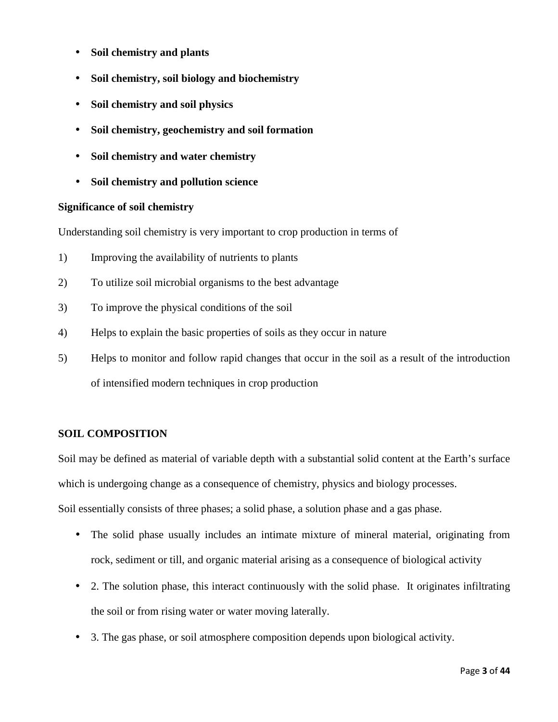- **Soil chemistry and plants**
- **Soil chemistry, soil biology and biochemistry**
- **Soil chemistry and soil physics**
- **Soil chemistry, geochemistry and soil formation**
- **Soil chemistry and water chemistry**
- **Soil chemistry and pollution science**

## **Significance of soil chemistry**

Understanding soil chemistry is very important to crop production in terms of

- 1) Improving the availability of nutrients to plants
- 2) To utilize soil microbial organisms to the best advantage
- 3) To improve the physical conditions of the soil
- 4) Helps to explain the basic properties of soils as they occur in nature
- 5) Helps to monitor and follow rapid changes that occur in the soil as a result of the introduction of intensified modern techniques in crop production

## **SOIL COMPOSITION**

Soil may be defined as material of variable depth with a substantial solid content at the Earth's surface which is undergoing change as a consequence of chemistry, physics and biology processes.

Soil essentially consists of three phases; a solid phase, a solution phase and a gas phase.

- The solid phase usually includes an intimate mixture of mineral material, originating from rock, sediment or till, and organic material arising as a consequence of biological activity
- 2. The solution phase, this interact continuously with the solid phase. It originates infiltrating the soil or from rising water or water moving laterally.
- 3. The gas phase, or soil atmosphere composition depends upon biological activity.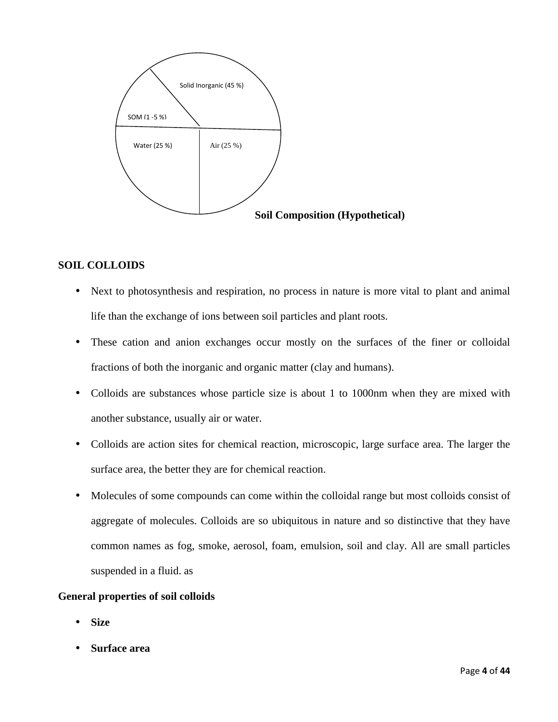

## **SOIL COLLOIDS**

- Next to photosynthesis and respiration, no process in nature is more vital to plant and animal life than the exchange of ions between soil particles and plant roots.
- These cation and anion exchanges occur mostly on the surfaces of the finer or colloidal fractions of both the inorganic and organic matter (clay and humans).
- Colloids are substances whose particle size is about 1 to 1000nm when they are mixed with another substance, usually air or water.
- Colloids are action sites for chemical reaction, microscopic, large surface area. The larger the surface area, the better they are for chemical reaction.
- Molecules of some compounds can come within the colloidal range but most colloids consist of aggregate of molecules. Colloids are so ubiquitous in nature and so distinctive that they have common names as fog, smoke, aerosol, foam, emulsion, soil and clay. All are small particles suspended in a fluid. as

#### **General properties of soil colloids**

- **Size**
- **Surface area**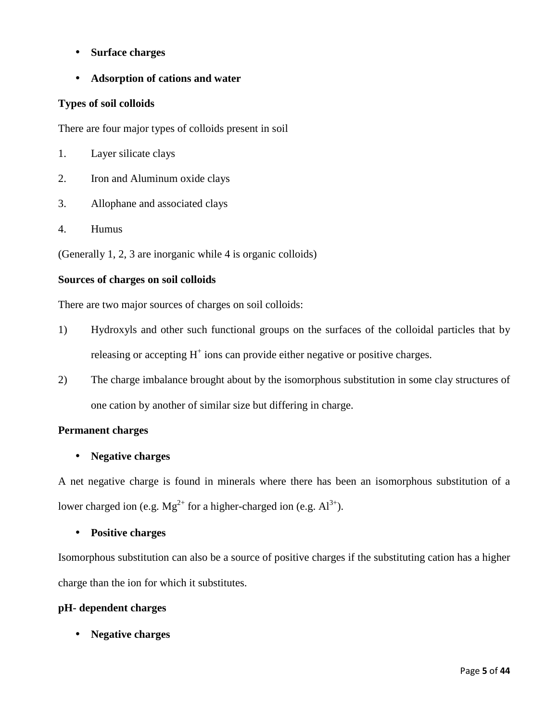- **Surface charges**
- **Adsorption of cations and water**

## **Types of soil colloids**

There are four major types of colloids present in soil

- 1. Layer silicate clays
- 2. Iron and Aluminum oxide clays
- 3. Allophane and associated clays
- 4. Humus

(Generally 1, 2, 3 are inorganic while 4 is organic colloids)

## **Sources of charges on soil colloids**

There are two major sources of charges on soil colloids:

- 1) Hydroxyls and other such functional groups on the surfaces of the colloidal particles that by releasing or accepting  $H^+$  ions can provide either negative or positive charges.
- 2) The charge imbalance brought about by the isomorphous substitution in some clay structures of one cation by another of similar size but differing in charge.

## **Permanent charges**

## • **Negative charges**

A net negative charge is found in minerals where there has been an isomorphous substitution of a lower charged ion (e.g.  $Mg^{2+}$  for a higher-charged ion (e.g.  $Al^{3+}$ ).

## • **Positive charges**

Isomorphous substitution can also be a source of positive charges if the substituting cation has a higher charge than the ion for which it substitutes.

## **pH- dependent charges**

• **Negative charges**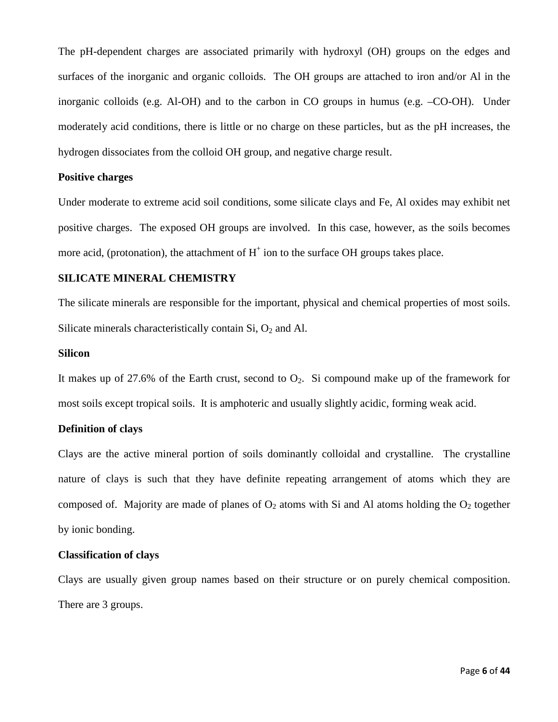The pH-dependent charges are associated primarily with hydroxyl (OH) groups on the edges and surfaces of the inorganic and organic colloids. The OH groups are attached to iron and/or Al in the inorganic colloids (e.g. Al-OH) and to the carbon in CO groups in humus (e.g. –CO-OH). Under moderately acid conditions, there is little or no charge on these particles, but as the pH increases, the hydrogen dissociates from the colloid OH group, and negative charge result.

#### **Positive charges**

Under moderate to extreme acid soil conditions, some silicate clays and Fe, Al oxides may exhibit net positive charges. The exposed OH groups are involved. In this case, however, as the soils becomes more acid, (protonation), the attachment of  $H^+$  ion to the surface OH groups takes place.

#### **SILICATE MINERAL CHEMISTRY**

The silicate minerals are responsible for the important, physical and chemical properties of most soils. Silicate minerals characteristically contain  $Si$ ,  $O_2$  and Al.

#### **Silicon**

It makes up of 27.6% of the Earth crust, second to  $O_2$ . Si compound make up of the framework for most soils except tropical soils. It is amphoteric and usually slightly acidic, forming weak acid.

#### **Definition of clays**

Clays are the active mineral portion of soils dominantly colloidal and crystalline. The crystalline nature of clays is such that they have definite repeating arrangement of atoms which they are composed of. Majority are made of planes of  $O_2$  atoms with Si and Al atoms holding the  $O_2$  together by ionic bonding.

#### **Classification of clays**

Clays are usually given group names based on their structure or on purely chemical composition. There are 3 groups.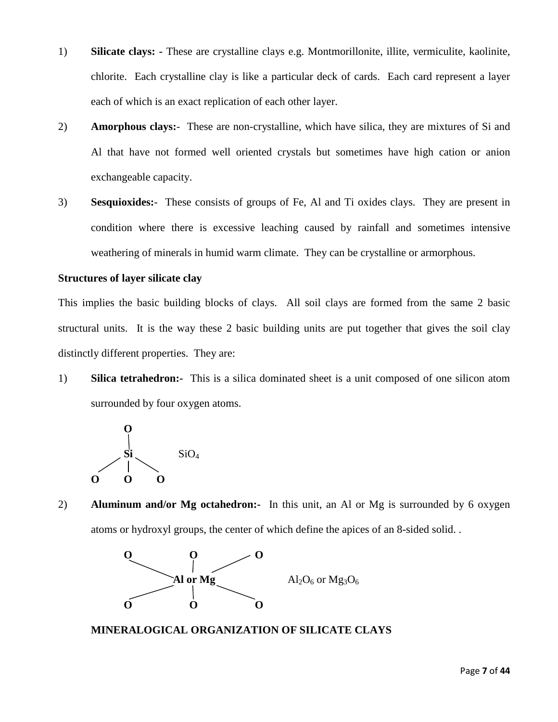- 1) **Silicate clays:** These are crystalline clays e.g. Montmorillonite, illite, vermiculite, kaolinite, chlorite. Each crystalline clay is like a particular deck of cards. Each card represent a layer each of which is an exact replication of each other layer.
- 2) **Amorphous clays:**-These are non-crystalline, which have silica, they are mixtures of Si and Al that have not formed well oriented crystals but sometimes have high cation or anion exchangeable capacity.
- 3) **Sesquioxides:**-These consists of groups of Fe, Al and Ti oxides clays. They are present in condition where there is excessive leaching caused by rainfall and sometimes intensive weathering of minerals in humid warm climate. They can be crystalline or armorphous.

#### **Structures of layer silicate clay**

This implies the basic building blocks of clays. All soil clays are formed from the same 2 basic structural units. It is the way these 2 basic building units are put together that gives the soil clay distinctly different properties. They are:

1) **Silica tetrahedron:-** This is a silica dominated sheet is a unit composed of one silicon atom surrounded by four oxygen atoms.



2) **Aluminum and/or Mg octahedron:-** In this unit, an Al or Mg is surrounded by 6 oxygen atoms or hydroxyl groups, the center of which define the apices of an 8-sided solid. .



#### **MINERALOGICAL ORGANIZATION OF SILICATE CLAYS**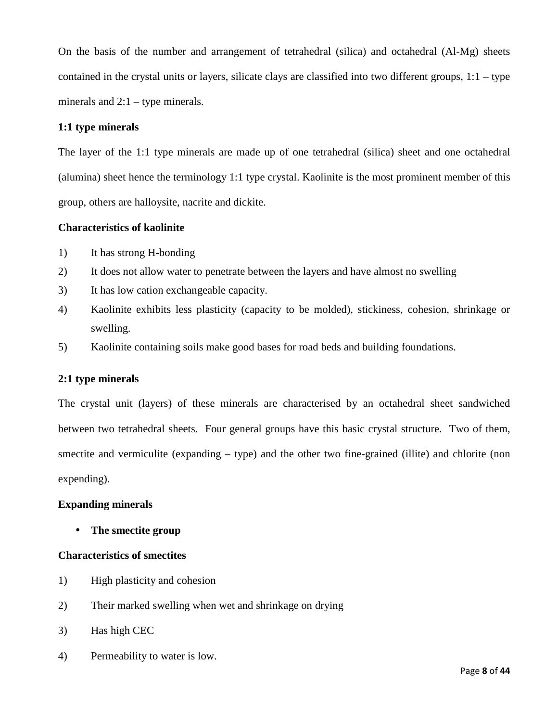On the basis of the number and arrangement of tetrahedral (silica) and octahedral (Al-Mg) sheets contained in the crystal units or layers, silicate clays are classified into two different groups, 1:1 – type minerals and  $2:1 -$  type minerals.

#### **1:1 type minerals**

The layer of the 1:1 type minerals are made up of one tetrahedral (silica) sheet and one octahedral (alumina) sheet hence the terminology 1:1 type crystal. Kaolinite is the most prominent member of this group, others are halloysite, nacrite and dickite.

#### **Characteristics of kaolinite**

- 1) It has strong H-bonding
- 2) It does not allow water to penetrate between the layers and have almost no swelling
- 3) It has low cation exchangeable capacity.
- 4) Kaolinite exhibits less plasticity (capacity to be molded), stickiness, cohesion, shrinkage or swelling.
- 5) Kaolinite containing soils make good bases for road beds and building foundations.

#### **2:1 type minerals**

The crystal unit (layers) of these minerals are characterised by an octahedral sheet sandwiched between two tetrahedral sheets. Four general groups have this basic crystal structure. Two of them, smectite and vermiculite (expanding – type) and the other two fine-grained (illite) and chlorite (non expending).

## **Expanding minerals**

• **The smectite group**

#### **Characteristics of smectites**

- 1) High plasticity and cohesion
- 2) Their marked swelling when wet and shrinkage on drying
- 3) Has high CEC
- 4) Permeability to water is low.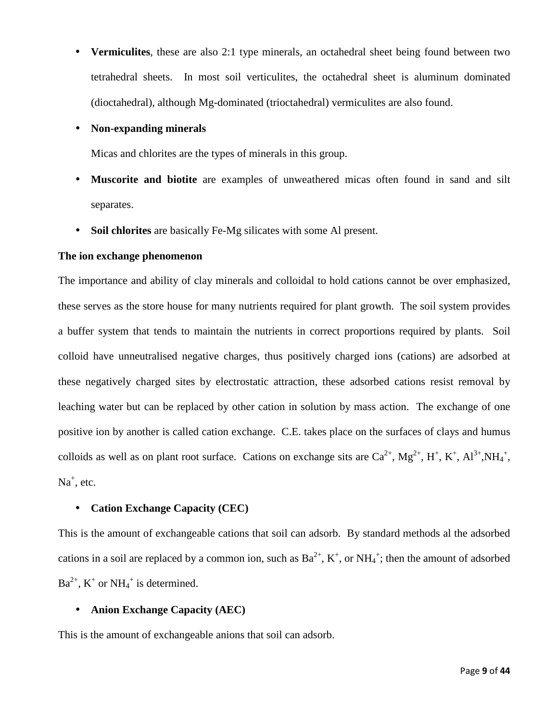• **Vermiculites**, these are also 2:1 type minerals, an octahedral sheet being found between two tetrahedral sheets. In most soil verticulites, the octahedral sheet is aluminum dominated (dioctahedral), although Mg-dominated (trioctahedral) vermiculites are also found.

#### • **Non-expanding minerals**

Micas and chlorites are the types of minerals in this group.

- **Muscorite and biotite** are examples of unweathered micas often found in sand and silt separates.
- **Soil chlorites** are basically Fe-Mg silicates with some Al present.

## **The ion exchange phenomenon**

The importance and ability of clay minerals and colloidal to hold cations cannot be over emphasized, these serves as the store house for many nutrients required for plant growth. The soil system provides a buffer system that tends to maintain the nutrients in correct proportions required by plants. Soil colloid have unneutralised negative charges, thus positively charged ions (cations) are adsorbed at these negatively charged sites by electrostatic attraction, these adsorbed cations resist removal by leaching water but can be replaced by other cation in solution by mass action. The exchange of one positive ion by another is called cation exchange. C.E. takes place on the surfaces of clays and humus colloids as well as on plant root surface. Cations on exchange sits are  $Ca^{2+}$ ,  $Mg^{2+}$ ,  $H^+$ ,  $K^+$ ,  $Al^{3+}$ ,  $NH_4^+$ , Na<sup>+</sup>, etc.

## • **Cation Exchange Capacity (CEC)**

This is the amount of exchangeable cations that soil can adsorb. By standard methods al the adsorbed cations in a soil are replaced by a common ion, such as  $Ba^{2+}$ ,  $K^+$ , or  $NH_4^+$ ; then the amount of adsorbed  $Ba^{2+}$ ,  $K^+$  or  $NH_4^+$  is determined.

#### • **Anion Exchange Capacity (AEC)**

This is the amount of exchangeable anions that soil can adsorb.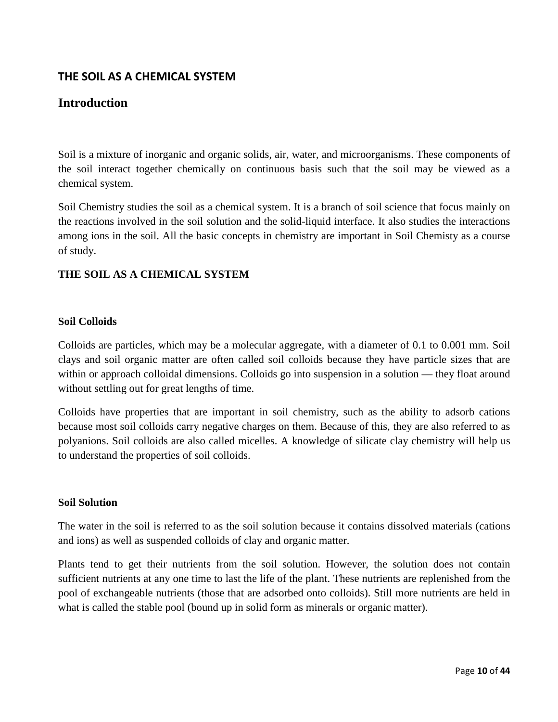# **THE SOIL AS A CHEMICAL SYSTEM**

# **Introduction**

Soil is a mixture of inorganic and organic solids, air, water, and microorganisms. These components of the soil interact together chemically on continuous basis such that the soil may be viewed as a chemical system.

Soil Chemistry studies the soil as a chemical system. It is a branch of soil science that focus mainly on the reactions involved in the soil solution and the solid-liquid interface. It also studies the interactions among ions in the soil. All the basic concepts in chemistry are important in Soil Chemisty as a course of study.

## **THE SOIL AS A CHEMICAL SYSTEM**

#### **Soil Colloids**

Colloids are particles, which may be a molecular aggregate, with a diameter of 0.1 to 0.001 mm. Soil clays and soil organic matter are often called soil colloids because they have particle sizes that are within or approach colloidal dimensions. Colloids go into suspension in a solution — they float around without settling out for great lengths of time.

Colloids have properties that are important in soil chemistry, such as the ability to adsorb cations because most soil colloids carry negative charges on them. Because of this, they are also referred to as polyanions. Soil colloids are also called micelles. A knowledge of silicate clay chemistry will help us to understand the properties of soil colloids.

#### **Soil Solution**

The water in the soil is referred to as the soil solution because it contains dissolved materials (cations and ions) as well as suspended colloids of clay and organic matter.

Plants tend to get their nutrients from the soil solution. However, the solution does not contain sufficient nutrients at any one time to last the life of the plant. These nutrients are replenished from the pool of exchangeable nutrients (those that are adsorbed onto colloids). Still more nutrients are held in what is called the stable pool (bound up in solid form as minerals or organic matter).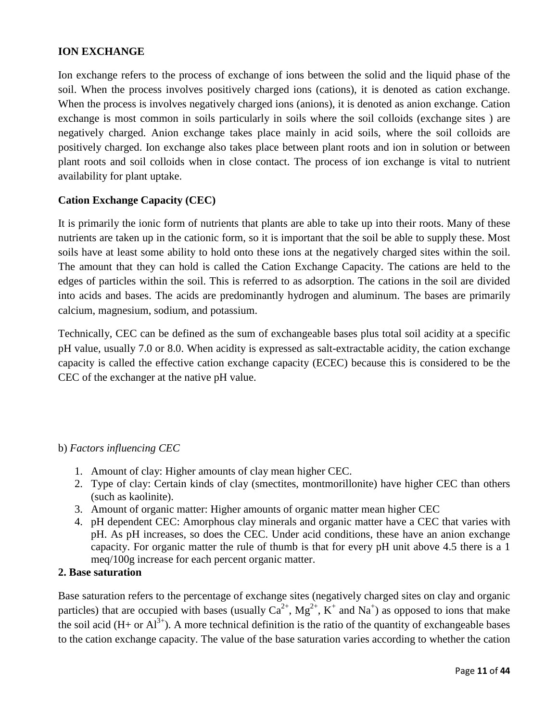## **ION EXCHANGE**

Ion exchange refers to the process of exchange of ions between the solid and the liquid phase of the soil. When the process involves positively charged ions (cations), it is denoted as cation exchange. When the process is involves negatively charged ions (anions), it is denoted as anion exchange. Cation exchange is most common in soils particularly in soils where the soil colloids (exchange sites ) are negatively charged. Anion exchange takes place mainly in acid soils, where the soil colloids are positively charged. Ion exchange also takes place between plant roots and ion in solution or between plant roots and soil colloids when in close contact. The process of ion exchange is vital to nutrient availability for plant uptake.

## **Cation Exchange Capacity (CEC)**

It is primarily the ionic form of nutrients that plants are able to take up into their roots. Many of these nutrients are taken up in the cationic form, so it is important that the soil be able to supply these. Most soils have at least some ability to hold onto these ions at the negatively charged sites within the soil. The amount that they can hold is called the Cation Exchange Capacity. The cations are held to the edges of particles within the soil. This is referred to as adsorption. The cations in the soil are divided into acids and bases. The acids are predominantly hydrogen and aluminum. The bases are primarily calcium, magnesium, sodium, and potassium.

Technically, CEC can be defined as the sum of exchangeable bases plus total soil acidity at a specific pH value, usually 7.0 or 8.0. When acidity is expressed as salt-extractable acidity, the cation exchange capacity is called the effective cation exchange capacity (ECEC) because this is considered to be the CEC of the exchanger at the native pH value.

## b) *Factors influencing CEC*

- 1. Amount of clay: Higher amounts of clay mean higher CEC.
- 2. Type of clay: Certain kinds of clay (smectites, montmorillonite) have higher CEC than others (such as kaolinite).
- 3. Amount of organic matter: Higher amounts of organic matter mean higher CEC
- 4. pH dependent CEC: Amorphous clay minerals and organic matter have a CEC that varies with pH. As pH increases, so does the CEC. Under acid conditions, these have an anion exchange capacity. For organic matter the rule of thumb is that for every pH unit above 4.5 there is a 1 meq/100g increase for each percent organic matter.

## **2. Base saturation**

Base saturation refers to the percentage of exchange sites (negatively charged sites on clay and organic particles) that are occupied with bases (usually  $Ca^{2+}$ ,  $Mg^{2+}$ ,  $K^+$  and  $Na^+$ ) as opposed to ions that make the soil acid (H+ or  $Al^{3+}$ ). A more technical definition is the ratio of the quantity of exchangeable bases to the cation exchange capacity. The value of the base saturation varies according to whether the cation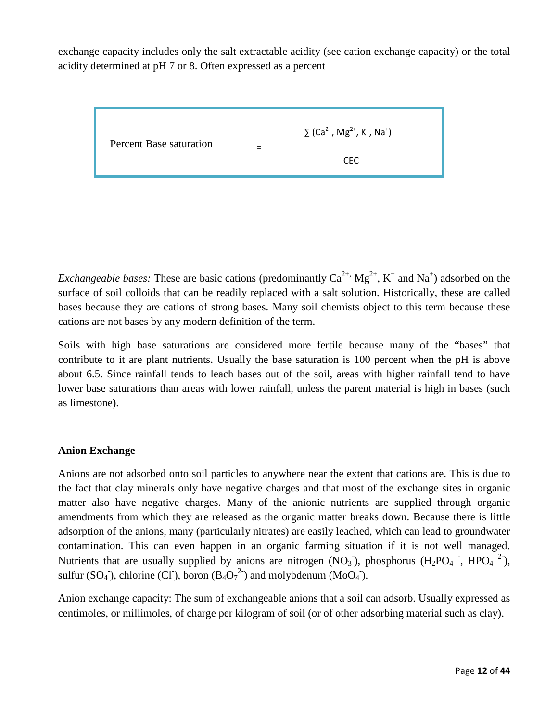exchange capacity includes only the salt extractable acidity (see cation exchange capacity) or the total acidity determined at pH 7 or 8. Often expressed as a percent

| Percent Base saturation |  | $\sum$ (Ca <sup>2+</sup> , Mg <sup>2+</sup> , K <sup>+</sup> , Na <sup>+</sup> ) |
|-------------------------|--|----------------------------------------------------------------------------------|
|                         |  | CFC.                                                                             |

*Exchangeable bases:* These are basic cations (predominantly  $Ca^{2+}$ ,  $Mg^{2+}$ ,  $K^+$  and  $Na^+$ ) adsorbed on the surface of soil colloids that can be readily replaced with a salt solution. Historically, these are called bases because they are cations of strong bases. Many soil chemists object to this term because these cations are not bases by any modern definition of the term.

Soils with high base saturations are considered more fertile because many of the "bases" that contribute to it are plant nutrients. Usually the base saturation is 100 percent when the pH is above about 6.5. Since rainfall tends to leach bases out of the soil, areas with higher rainfall tend to have lower base saturations than areas with lower rainfall, unless the parent material is high in bases (such as limestone).

## **Anion Exchange**

Anions are not adsorbed onto soil particles to anywhere near the extent that cations are. This is due to the fact that clay minerals only have negative charges and that most of the exchange sites in organic matter also have negative charges. Many of the anionic nutrients are supplied through organic amendments from which they are released as the organic matter breaks down. Because there is little adsorption of the anions, many (particularly nitrates) are easily leached, which can lead to groundwater contamination. This can even happen in an organic farming situation if it is not well managed. Nutrients that are usually supplied by anions are nitrogen  $(NO<sub>3</sub>)$ , phosphorus  $(H<sub>2</sub>PO<sub>4</sub>$ <sup>-</sup>, HPO<sub>4</sub><sup>-2-</sup>), sulfur  $(SO_4^-)$ , chlorine  $(CI)$ , boron  $(B_4O_7^2)$  and molybdenum  $(M_0O_4^-)$ .

Anion exchange capacity: The sum of exchangeable anions that a soil can adsorb. Usually expressed as centimoles, or millimoles, of charge per kilogram of soil (or of other adsorbing material such as clay).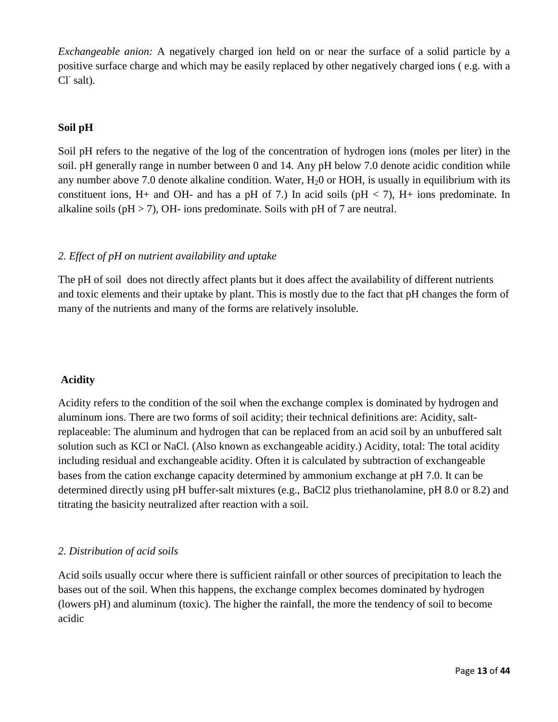*Exchangeable anion:* A negatively charged ion held on or near the surface of a solid particle by a positive surface charge and which may be easily replaced by other negatively charged ions ( e.g. with a  $Cl^r$  salt).

## **Soil pH**

Soil pH refers to the negative of the log of the concentration of hydrogen ions (moles per liter) in the soil. pH generally range in number between 0 and 14. Any pH below 7.0 denote acidic condition while any number above 7.0 denote alkaline condition. Water,  $H<sub>2</sub>0$  or HOH, is usually in equilibrium with its constituent ions, H+ and OH- and has a pH of 7.) In acid soils ( $pH < 7$ ), H+ ions predominate. In alkaline soils ( $pH > 7$ ), OH- ions predominate. Soils with  $pH$  of 7 are neutral.

## *2. Effect of pH on nutrient availability and uptake*

The pH of soil does not directly affect plants but it does affect the availability of different nutrients and toxic elements and their uptake by plant. This is mostly due to the fact that pH changes the form of many of the nutrients and many of the forms are relatively insoluble.

## **Acidity**

Acidity refers to the condition of the soil when the exchange complex is dominated by hydrogen and aluminum ions. There are two forms of soil acidity; their technical definitions are: Acidity, saltreplaceable: The aluminum and hydrogen that can be replaced from an acid soil by an unbuffered salt solution such as KCl or NaCl. (Also known as exchangeable acidity.) Acidity, total: The total acidity including residual and exchangeable acidity. Often it is calculated by subtraction of exchangeable bases from the cation exchange capacity determined by ammonium exchange at pH 7.0. It can be determined directly using pH buffer-salt mixtures (e.g., BaCl2 plus triethanolamine, pH 8.0 or 8.2) and titrating the basicity neutralized after reaction with a soil.

## *2. Distribution of acid soils*

Acid soils usually occur where there is sufficient rainfall or other sources of precipitation to leach the bases out of the soil. When this happens, the exchange complex becomes dominated by hydrogen (lowers pH) and aluminum (toxic). The higher the rainfall, the more the tendency of soil to become acidic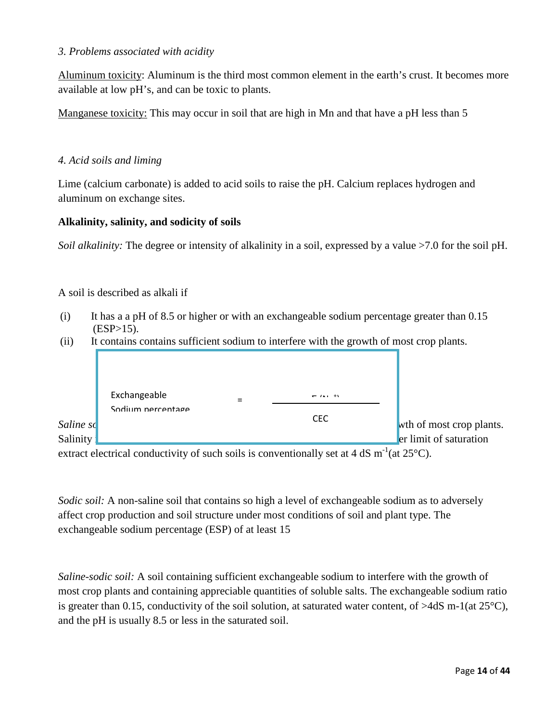## *3. Problems associated with acidity*

Aluminum toxicity: Aluminum is the third most common element in the earth's crust. It becomes more available at low pH's, and can be toxic to plants.

Manganese toxicity: This may occur in soil that are high in Mn and that have a pH less than 5

## *4. Acid soils and liming*

Lime (calcium carbonate) is added to acid soils to raise the pH. Calcium replaces hydrogen and aluminum on exchange sites.

## **Alkalinity, salinity, and sodicity of soils**

*Soil alkalinity:* The degree or intensity of alkalinity in a soil, expressed by a value >7.0 for the soil pH.

## A soil is described as alkali if

- (i) It has a a pH of 8.5 or higher or with an exchangeable sodium percentage greater than 0.15  $(ESP>15)$ .
- (ii) It contains contains sufficient sodium to interfere with the growth of most crop plants.



extract electrical conductivity of such soils is conventionally set at 4 dS  $m^{-1}$ (at 25°C).

*Sodic soil:* A non-saline soil that contains so high a level of exchangeable sodium as to adversely affect crop production and soil structure under most conditions of soil and plant type. The exchangeable sodium percentage (ESP) of at least 15

*Saline-sodic soil:* A soil containing sufficient exchangeable sodium to interfere with the growth of most crop plants and containing appreciable quantities of soluble salts. The exchangeable sodium ratio is greater than 0.15, conductivity of the soil solution, at saturated water content, of  $>4dS$  m-1(at 25<sup>o</sup>C), and the pH is usually 8.5 or less in the saturated soil.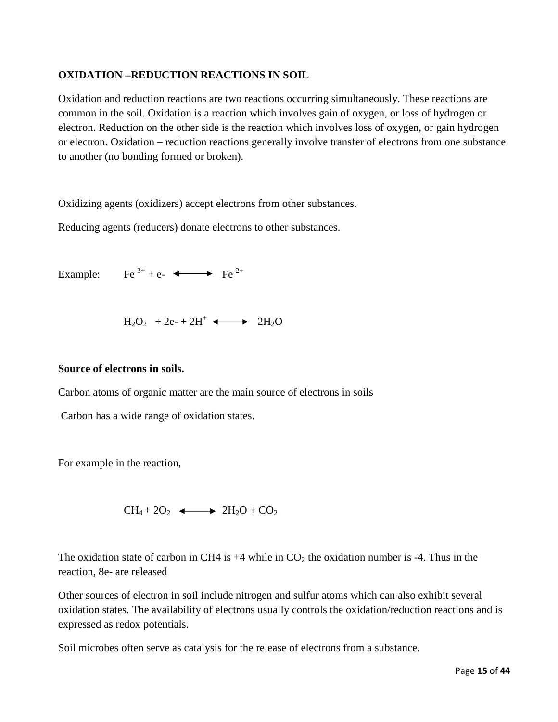## **OXIDATION –REDUCTION REACTIONS IN SOIL**

Oxidation and reduction reactions are two reactions occurring simultaneously. These reactions are common in the soil. Oxidation is a reaction which involves gain of oxygen, or loss of hydrogen or electron. Reduction on the other side is the reaction which involves loss of oxygen, or gain hydrogen or electron. Oxidation – reduction reactions generally involve transfer of electrons from one substance to another (no bonding formed or broken).

Oxidizing agents (oxidizers) accept electrons from other substances.

Reducing agents (reducers) donate electrons to other substances.

Example: Fe<sup>3+</sup> + e- $\longleftrightarrow$  Fe<sup>2+</sup>

 $H_2O_2$  + 2e- + 2H<sup>+</sup>  $\longleftrightarrow$  2H<sub>2</sub>O

## **Source of electrons in soils.**

Carbon atoms of organic matter are the main source of electrons in soils

Carbon has a wide range of oxidation states.

For example in the reaction,

 $CH_4 + 2O_2 \longleftrightarrow 2H_2O + CO_2$ 

The oxidation state of carbon in CH4 is  $+4$  while in CO<sub>2</sub> the oxidation number is  $-4$ . Thus in the reaction, 8e- are released

Other sources of electron in soil include nitrogen and sulfur atoms which can also exhibit several oxidation states. The availability of electrons usually controls the oxidation/reduction reactions and is expressed as redox potentials.

Soil microbes often serve as catalysis for the release of electrons from a substance.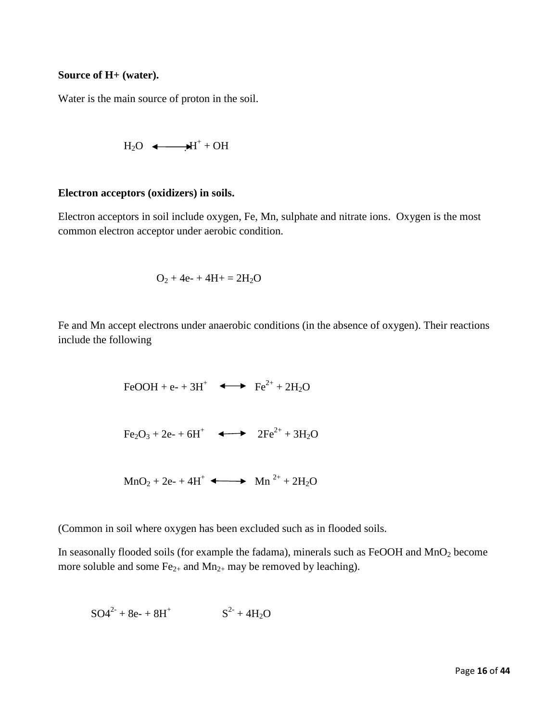## **Source of H+ (water).**

Water is the main source of proton in the soil.

$$
H_2O \quad \Longleftarrow \quad \blacktriangleright H^+ + OH
$$

#### **Electron acceptors (oxidizers) in soils.**

Electron acceptors in soil include oxygen, Fe, Mn, sulphate and nitrate ions. Oxygen is the most common electron acceptor under aerobic condition.

$$
O_2 + 4e^- + 4H + = 2H_2O
$$

Fe and Mn accept electrons under anaerobic conditions (in the absence of oxygen). Their reactions include the following

$$
\text{FeOOH} + \text{e-} + 3\text{H}^+ \quad \Longleftrightarrow \quad \text{Fe}^{2+} + 2\text{H}_2\text{O}
$$

$$
\text{Fe}_2\text{O}_3 + 2\text{e}_2 + 6\text{H}^+ \quad \longleftrightarrow \quad 2\text{Fe}^{2+} + 3\text{H}_2\text{O}
$$

$$
MnO_2 + 2e^- + 4H^+ \longrightarrow Mn^{2+} + 2H_2O
$$

(Common in soil where oxygen has been excluded such as in flooded soils.

In seasonally flooded soils (for example the fadama), minerals such as FeOOH and MnO2 become more soluble and some  $Fe_{2+}$  and  $Mn_{2+}$  may be removed by leaching).

$$
SO4^{2-} + 8e^- + 8H^+
$$
  $S^{2-} + 4H_2O$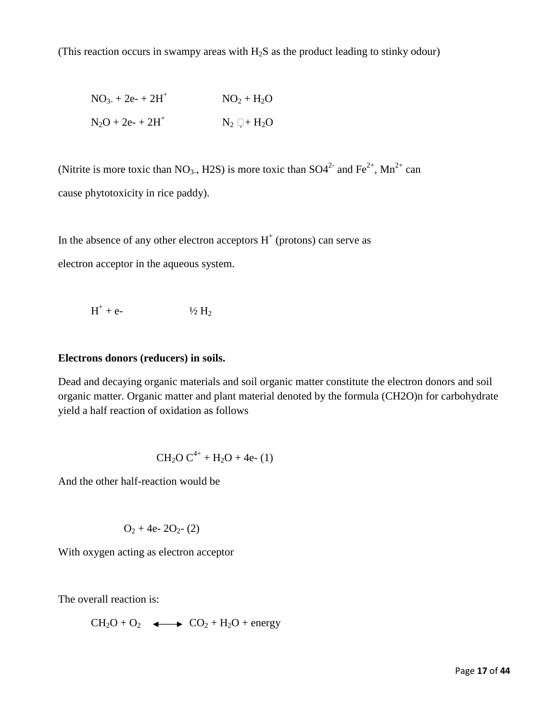(This reaction occurs in swampy areas with  $H_2S$  as the product leading to stinky odour)

$$
NO3 + 2e2 + 2H+
$$
  
\n $NO2 + H2O$   
\n $N2O + 2e2 + 2H+$   
\n $N2 \Box + H2O$ 

(Nitrite is more toxic than  $NO<sub>3</sub>$ , H2S) is more toxic than  $SO<sub>4</sub><sup>2+</sup>$  and Fe<sup>2+</sup>, Mn<sup>2+</sup> can cause phytotoxicity in rice paddy).

In the absence of any other electron acceptors  $H^+$  (protons) can serve as

electron acceptor in the aqueous system.

$$
H^+ + e \qquad \qquad \frac{1}{2} H_2
$$

#### **Electrons donors (reducers) in soils.**

Dead and decaying organic materials and soil organic matter constitute the electron donors and soil organic matter. Organic matter and plant material denoted by the formula (CH2O)n for carbohydrate yield a half reaction of oxidation as follows

$$
CH_2O C^{4+} + H_2O + 4e- (1)
$$

And the other half-reaction would be

$$
O_2 + 4e- 2O_{2}-(2)
$$

With oxygen acting as electron acceptor

The overall reaction is:

 $CH_2O + O_2 \longleftrightarrow CO_2 + H_2O + energy$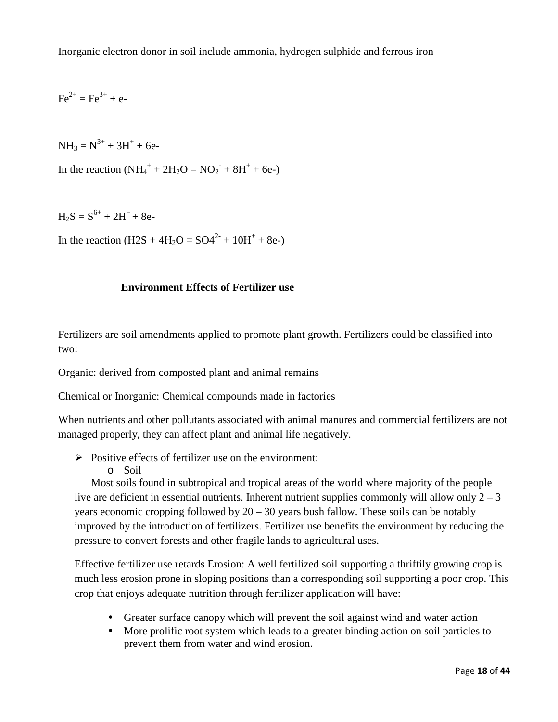Inorganic electron donor in soil include ammonia, hydrogen sulphide and ferrous iron

 $Fe^{2+} = Fe^{3+} + e^{-}$ 

 $NH_3 = N^{3+} + 3H^+ + 6e$ 

In the reaction  $(NH_4^+ + 2H_2O = NO_2^- + 8H^+ + 6e^-)$ 

 $H_2S = S^{6+} + 2H^+ + 8e$ 

In the reaction  $(H2S + 4H_2O = SO4^{2-} + 10H^+ + 8e^{-})$ 

## **Environment Effects of Fertilizer use**

Fertilizers are soil amendments applied to promote plant growth. Fertilizers could be classified into two:

Organic: derived from composted plant and animal remains

Chemical or Inorganic: Chemical compounds made in factories

When nutrients and other pollutants associated with animal manures and commercial fertilizers are not managed properly, they can affect plant and animal life negatively.

- $\triangleright$  Positive effects of fertilizer use on the environment:
	- o Soil

 Most soils found in subtropical and tropical areas of the world where majority of the people live are deficient in essential nutrients. Inherent nutrient supplies commonly will allow only  $2 - 3$ years economic cropping followed by  $20 - 30$  years bush fallow. These soils can be notably improved by the introduction of fertilizers. Fertilizer use benefits the environment by reducing the pressure to convert forests and other fragile lands to agricultural uses.

Effective fertilizer use retards Erosion: A well fertilized soil supporting a thriftily growing crop is much less erosion prone in sloping positions than a corresponding soil supporting a poor crop. This crop that enjoys adequate nutrition through fertilizer application will have:

- Greater surface canopy which will prevent the soil against wind and water action
- More prolific root system which leads to a greater binding action on soil particles to prevent them from water and wind erosion.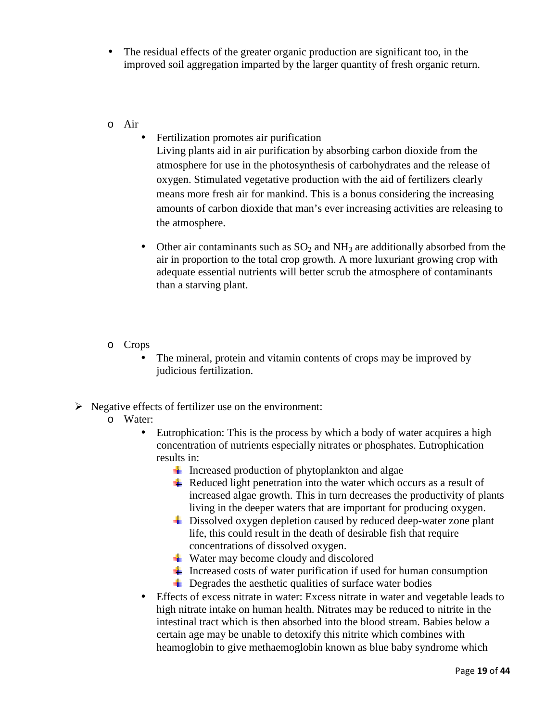- The residual effects of the greater organic production are significant too, in the improved soil aggregation imparted by the larger quantity of fresh organic return.
- o Air
	- Fertilization promotes air purification

Living plants aid in air purification by absorbing carbon dioxide from the atmosphere for use in the photosynthesis of carbohydrates and the release of oxygen. Stimulated vegetative production with the aid of fertilizers clearly means more fresh air for mankind. This is a bonus considering the increasing amounts of carbon dioxide that man's ever increasing activities are releasing to the atmosphere.

- Other air contaminants such as  $SO_2$  and  $NH_3$  are additionally absorbed from the air in proportion to the total crop growth. A more luxuriant growing crop with adequate essential nutrients will better scrub the atmosphere of contaminants than a starving plant.
- o Crops
	- The mineral, protein and vitamin contents of crops may be improved by judicious fertilization.
- $\triangleright$  Negative effects of fertilizer use on the environment:
	- o Water:
		- Eutrophication: This is the process by which a body of water acquires a high concentration of nutrients especially nitrates or phosphates. Eutrophication results in:
			- $\perp$  Increased production of phytoplankton and algae
			- $\overline{\textbf{H}}$  Reduced light penetration into the water which occurs as a result of increased algae growth. This in turn decreases the productivity of plants living in the deeper waters that are important for producing oxygen.
			- Dissolved oxygen depletion caused by reduced deep-water zone plant life, this could result in the death of desirable fish that require concentrations of dissolved oxygen.
			- $\overline{\textbf{L}}$  Water may become cloudy and discolored
			- Increased costs of water purification if used for human consumption
			- $\overline{\phantom{a}}$  Degrades the aesthetic qualities of surface water bodies
		- Effects of excess nitrate in water: Excess nitrate in water and vegetable leads to high nitrate intake on human health. Nitrates may be reduced to nitrite in the intestinal tract which is then absorbed into the blood stream. Babies below a certain age may be unable to detoxify this nitrite which combines with heamoglobin to give methaemoglobin known as blue baby syndrome which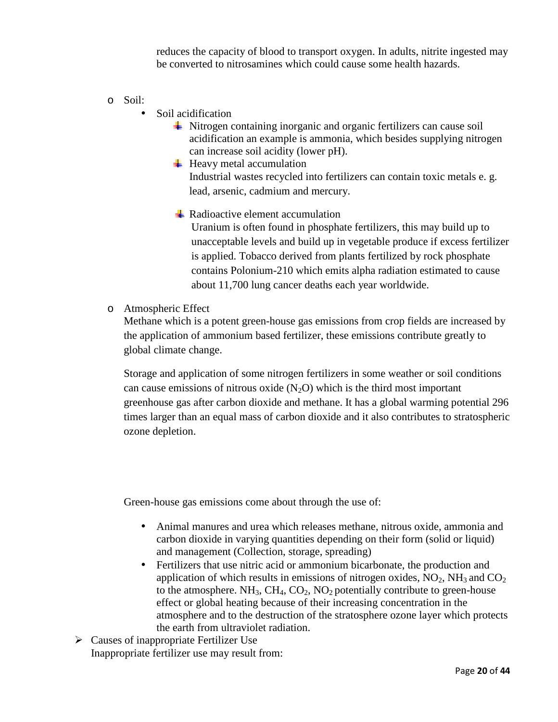reduces the capacity of blood to transport oxygen. In adults, nitrite ingested may be converted to nitrosamines which could cause some health hazards.

- o Soil:
	- Soil acidification
		- $\overline{\text{ } }$  Nitrogen containing inorganic and organic fertilizers can cause soil acidification an example is ammonia, which besides supplying nitrogen can increase soil acidity (lower pH).
		- $\overline{\phantom{a}}$  Heavy metal accumulation Industrial wastes recycled into fertilizers can contain toxic metals e. g. lead, arsenic, cadmium and mercury.
		- $\pm$  Radioactive element accumulation

Uranium is often found in phosphate fertilizers, this may build up to unacceptable levels and build up in vegetable produce if excess fertilizer is applied. Tobacco derived from plants fertilized by rock phosphate contains Polonium-210 which emits alpha radiation estimated to cause about 11,700 lung cancer deaths each year worldwide.

o Atmospheric Effect

Methane which is a potent green-house gas emissions from crop fields are increased by the application of ammonium based fertilizer, these emissions contribute greatly to global climate change.

Storage and application of some nitrogen fertilizers in some weather or soil conditions can cause emissions of nitrous oxide  $(N_2O)$  which is the third most important greenhouse gas after carbon dioxide and methane. It has a global warming potential 296 times larger than an equal mass of carbon dioxide and it also contributes to stratospheric ozone depletion.

Green-house gas emissions come about through the use of:

- Animal manures and urea which releases methane, nitrous oxide, ammonia and carbon dioxide in varying quantities depending on their form (solid or liquid) and management (Collection, storage, spreading)
- Fertilizers that use nitric acid or ammonium bicarbonate, the production and application of which results in emissions of nitrogen oxides,  $NO<sub>2</sub>$ , NH<sub>3</sub> and  $CO<sub>2</sub>$ to the atmosphere.  $NH_3$ ,  $CH_4$ ,  $CO_2$ ,  $NO_2$  potentially contribute to green-house effect or global heating because of their increasing concentration in the atmosphere and to the destruction of the stratosphere ozone layer which protects the earth from ultraviolet radiation.
- $\triangleright$  Causes of inappropriate Fertilizer Use Inappropriate fertilizer use may result from: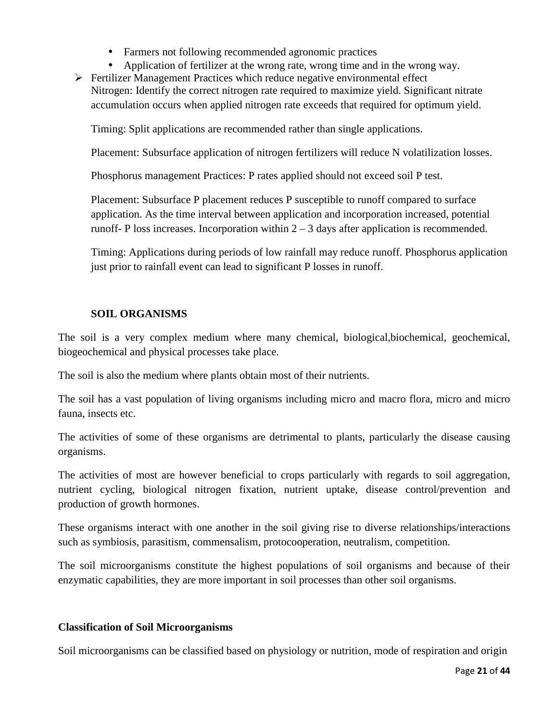- Farmers not following recommended agronomic practices
- Application of fertilizer at the wrong rate, wrong time and in the wrong way.
- $\triangleright$  Fertilizer Management Practices which reduce negative environmental effect Nitrogen: Identify the correct nitrogen rate required to maximize yield. Significant nitrate accumulation occurs when applied nitrogen rate exceeds that required for optimum yield.

Timing: Split applications are recommended rather than single applications.

Placement: Subsurface application of nitrogen fertilizers will reduce N volatilization losses.

Phosphorus management Practices: P rates applied should not exceed soil P test.

Placement: Subsurface P placement reduces P susceptible to runoff compared to surface application. As the time interval between application and incorporation increased, potential runoff- P loss increases. Incorporation within  $2 - 3$  days after application is recommended.

Timing: Applications during periods of low rainfall may reduce runoff. Phosphorus application just prior to rainfall event can lead to significant P losses in runoff.

#### **SOIL ORGANISMS**

The soil is a very complex medium where many chemical, biological,biochemical, geochemical, biogeochemical and physical processes take place.

The soil is also the medium where plants obtain most of their nutrients.

The soil has a vast population of living organisms including micro and macro flora, micro and micro fauna, insects etc.

The activities of some of these organisms are detrimental to plants, particularly the disease causing organisms.

The activities of most are however beneficial to crops particularly with regards to soil aggregation, nutrient cycling, biological nitrogen fixation, nutrient uptake, disease control/prevention and production of growth hormones.

These organisms interact with one another in the soil giving rise to diverse relationships/interactions such as symbiosis, parasitism, commensalism, protocooperation, neutralism, competition.

The soil microorganisms constitute the highest populations of soil organisms and because of their enzymatic capabilities, they are more important in soil processes than other soil organisms.

#### **Classification of Soil Microorganisms**

Soil microorganisms can be classified based on physiology or nutrition, mode of respiration and origin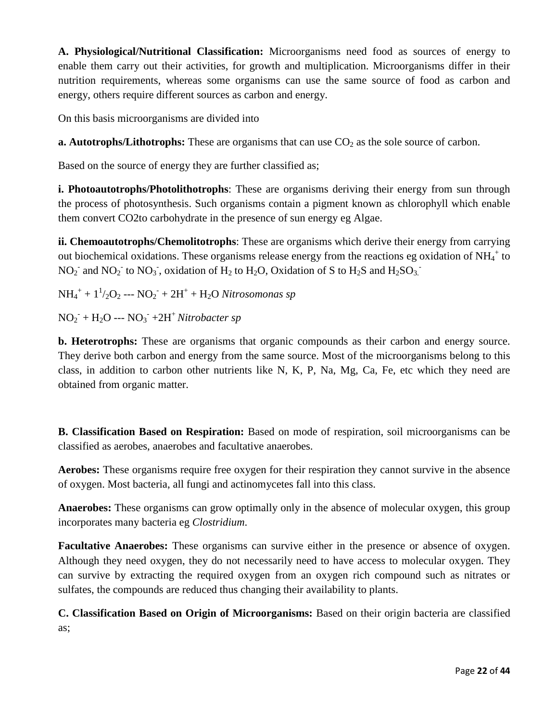**A. Physiological/Nutritional Classification:** Microorganisms need food as sources of energy to enable them carry out their activities, for growth and multiplication. Microorganisms differ in their nutrition requirements, whereas some organisms can use the same source of food as carbon and energy, others require different sources as carbon and energy.

On this basis microorganisms are divided into

**a. Autotrophs/Lithotrophs:** These are organisms that can use  $CO<sub>2</sub>$  as the sole source of carbon.

Based on the source of energy they are further classified as;

**i. Photoautotrophs/Photolithotrophs**: These are organisms deriving their energy from sun through the process of photosynthesis. Such organisms contain a pigment known as chlorophyll which enable them convert CO2to carbohydrate in the presence of sun energy eg Algae.

**ii. Chemoautotrophs/Chemolitotrophs**: These are organisms which derive their energy from carrying out biochemical oxidations. These organisms release energy from the reactions eg oxidation of  $NH_4^+$  to  $NO_2^-$  and  $NO_2^-$  to  $NO_3^-$ , oxidation of  $H_2$  to  $H_2O$ , Oxidation of S to  $H_2S$  and  $H_2SO_3^-$ 

 $NH_4^+ + 1^1/2O_2 -- No_2^- + 2H^+ + H_2O$  *Nitrosomonas sp* 

 $NO<sub>2</sub><sup>-</sup> + H<sub>2</sub>O -- NO<sub>3</sub><sup>-</sup> + 2H<sup>+</sup> Nitrobacter sp$ 

**b. Heterotrophs:** These are organisms that organic compounds as their carbon and energy source. They derive both carbon and energy from the same source. Most of the microorganisms belong to this class, in addition to carbon other nutrients like N, K, P, Na, Mg, Ca, Fe, etc which they need are obtained from organic matter.

**B. Classification Based on Respiration:** Based on mode of respiration, soil microorganisms can be classified as aerobes, anaerobes and facultative anaerobes.

**Aerobes:** These organisms require free oxygen for their respiration they cannot survive in the absence of oxygen. Most bacteria, all fungi and actinomycetes fall into this class.

**Anaerobes:** These organisms can grow optimally only in the absence of molecular oxygen, this group incorporates many bacteria eg *Clostridium*.

**Facultative Anaerobes:** These organisms can survive either in the presence or absence of oxygen. Although they need oxygen, they do not necessarily need to have access to molecular oxygen. They can survive by extracting the required oxygen from an oxygen rich compound such as nitrates or sulfates, the compounds are reduced thus changing their availability to plants.

**C. Classification Based on Origin of Microorganisms:** Based on their origin bacteria are classified as;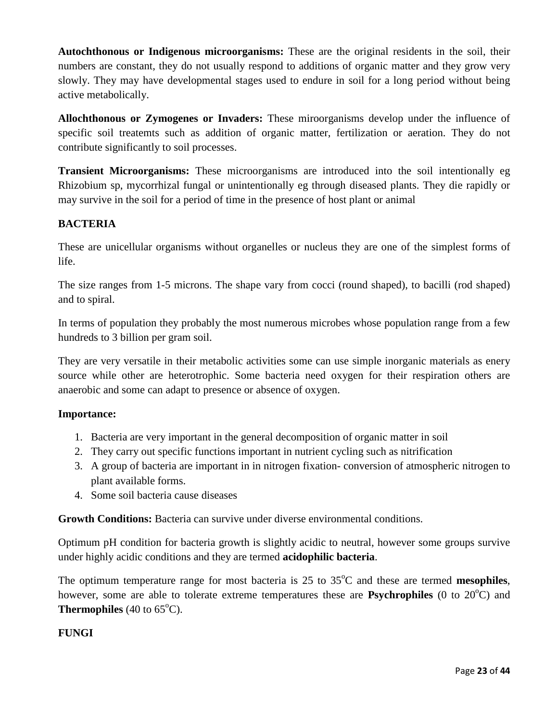**Autochthonous or Indigenous microorganisms:** These are the original residents in the soil, their numbers are constant, they do not usually respond to additions of organic matter and they grow very slowly. They may have developmental stages used to endure in soil for a long period without being active metabolically.

**Allochthonous or Zymogenes or Invaders:** These miroorganisms develop under the influence of specific soil treatemts such as addition of organic matter, fertilization or aeration. They do not contribute significantly to soil processes.

**Transient Microorganisms:** These microorganisms are introduced into the soil intentionally eg Rhizobium sp, mycorrhizal fungal or unintentionally eg through diseased plants. They die rapidly or may survive in the soil for a period of time in the presence of host plant or animal

## **BACTERIA**

These are unicellular organisms without organelles or nucleus they are one of the simplest forms of life.

The size ranges from 1-5 microns. The shape vary from cocci (round shaped), to bacilli (rod shaped) and to spiral.

In terms of population they probably the most numerous microbes whose population range from a few hundreds to 3 billion per gram soil.

They are very versatile in their metabolic activities some can use simple inorganic materials as enery source while other are heterotrophic. Some bacteria need oxygen for their respiration others are anaerobic and some can adapt to presence or absence of oxygen.

## **Importance:**

- 1. Bacteria are very important in the general decomposition of organic matter in soil
- 2. They carry out specific functions important in nutrient cycling such as nitrification
- 3. A group of bacteria are important in in nitrogen fixation- conversion of atmospheric nitrogen to plant available forms.
- 4. Some soil bacteria cause diseases

**Growth Conditions:** Bacteria can survive under diverse environmental conditions.

Optimum pH condition for bacteria growth is slightly acidic to neutral, however some groups survive under highly acidic conditions and they are termed **acidophilic bacteria**.

The optimum temperature range for most bacteria is  $25$  to  $35^{\circ}$ C and these are termed **mesophiles**, however, some are able to tolerate extreme temperatures these are **Psychrophiles** (0 to 20<sup>o</sup>C) and **Thermophiles** (40 to  $65^{\circ}$ C).

## **FUNGI**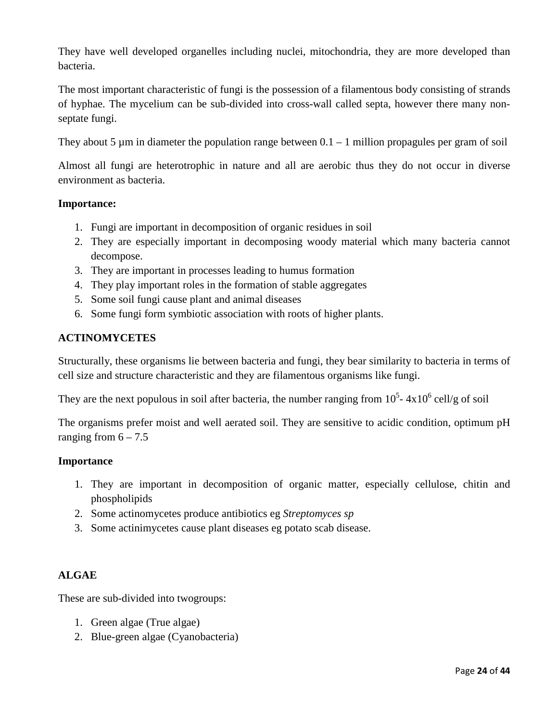They have well developed organelles including nuclei, mitochondria, they are more developed than bacteria.

The most important characteristic of fungi is the possession of a filamentous body consisting of strands of hyphae. The mycelium can be sub-divided into cross-wall called septa, however there many nonseptate fungi.

They about 5  $\mu$ m in diameter the population range between 0.1 – 1 million propagules per gram of soil

Almost all fungi are heterotrophic in nature and all are aerobic thus they do not occur in diverse environment as bacteria.

## **Importance:**

- 1. Fungi are important in decomposition of organic residues in soil
- 2. They are especially important in decomposing woody material which many bacteria cannot decompose.
- 3. They are important in processes leading to humus formation
- 4. They play important roles in the formation of stable aggregates
- 5. Some soil fungi cause plant and animal diseases
- 6. Some fungi form symbiotic association with roots of higher plants.

## **ACTINOMYCETES**

Structurally, these organisms lie between bacteria and fungi, they bear similarity to bacteria in terms of cell size and structure characteristic and they are filamentous organisms like fungi.

They are the next populous in soil after bacteria, the number ranging from  $10^5$ -  $4x10^6$  cell/g of soil

The organisms prefer moist and well aerated soil. They are sensitive to acidic condition, optimum pH ranging from  $6 - 7.5$ 

## **Importance**

- 1. They are important in decomposition of organic matter, especially cellulose, chitin and phospholipids
- 2. Some actinomycetes produce antibiotics eg *Streptomyces sp*
- 3. Some actinimycetes cause plant diseases eg potato scab disease.

## **ALGAE**

These are sub-divided into twogroups:

- 1. Green algae (True algae)
- 2. Blue-green algae (Cyanobacteria)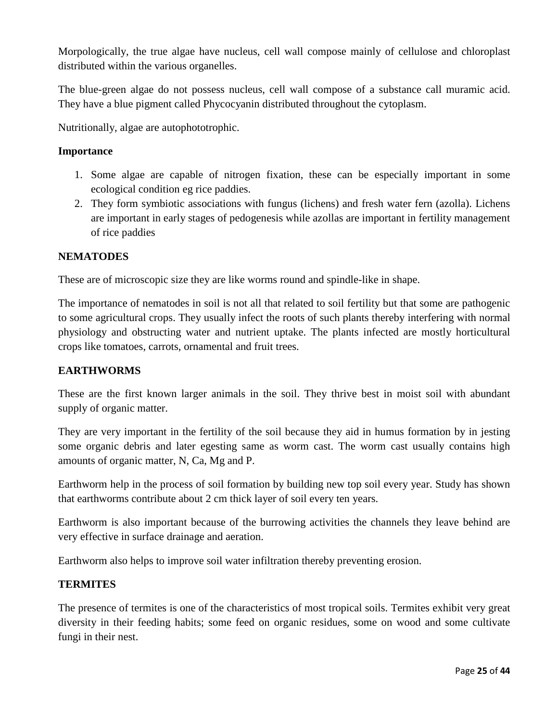Morpologically, the true algae have nucleus, cell wall compose mainly of cellulose and chloroplast distributed within the various organelles.

The blue-green algae do not possess nucleus, cell wall compose of a substance call muramic acid. They have a blue pigment called Phycocyanin distributed throughout the cytoplasm.

Nutritionally, algae are autophototrophic.

## **Importance**

- 1. Some algae are capable of nitrogen fixation, these can be especially important in some ecological condition eg rice paddies.
- 2. They form symbiotic associations with fungus (lichens) and fresh water fern (azolla). Lichens are important in early stages of pedogenesis while azollas are important in fertility management of rice paddies

## **NEMATODES**

These are of microscopic size they are like worms round and spindle-like in shape.

The importance of nematodes in soil is not all that related to soil fertility but that some are pathogenic to some agricultural crops. They usually infect the roots of such plants thereby interfering with normal physiology and obstructing water and nutrient uptake. The plants infected are mostly horticultural crops like tomatoes, carrots, ornamental and fruit trees.

## **EARTHWORMS**

These are the first known larger animals in the soil. They thrive best in moist soil with abundant supply of organic matter.

They are very important in the fertility of the soil because they aid in humus formation by in jesting some organic debris and later egesting same as worm cast. The worm cast usually contains high amounts of organic matter, N, Ca, Mg and P.

Earthworm help in the process of soil formation by building new top soil every year. Study has shown that earthworms contribute about 2 cm thick layer of soil every ten years.

Earthworm is also important because of the burrowing activities the channels they leave behind are very effective in surface drainage and aeration.

Earthworm also helps to improve soil water infiltration thereby preventing erosion.

## **TERMITES**

The presence of termites is one of the characteristics of most tropical soils. Termites exhibit very great diversity in their feeding habits; some feed on organic residues, some on wood and some cultivate fungi in their nest.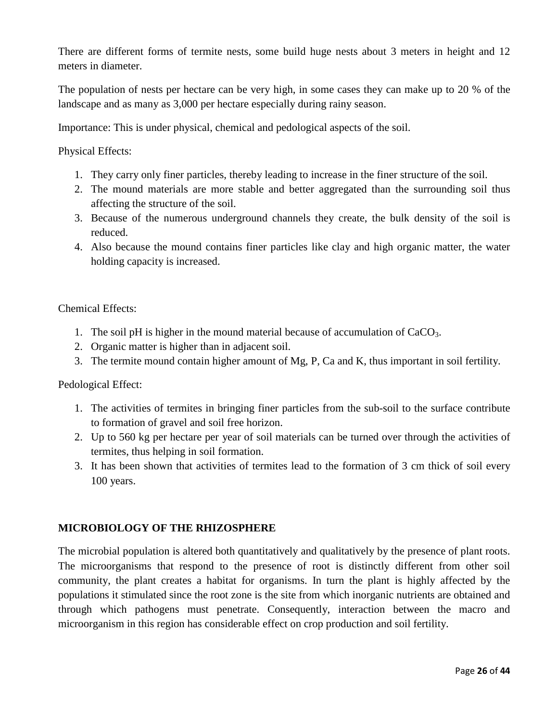There are different forms of termite nests, some build huge nests about 3 meters in height and 12 meters in diameter.

The population of nests per hectare can be very high, in some cases they can make up to 20 % of the landscape and as many as 3,000 per hectare especially during rainy season.

Importance: This is under physical, chemical and pedological aspects of the soil.

Physical Effects:

- 1. They carry only finer particles, thereby leading to increase in the finer structure of the soil.
- 2. The mound materials are more stable and better aggregated than the surrounding soil thus affecting the structure of the soil.
- 3. Because of the numerous underground channels they create, the bulk density of the soil is reduced.
- 4. Also because the mound contains finer particles like clay and high organic matter, the water holding capacity is increased.

Chemical Effects:

- 1. The soil pH is higher in the mound material because of accumulation of  $CaCO<sub>3</sub>$ .
- 2. Organic matter is higher than in adjacent soil.
- 3. The termite mound contain higher amount of Mg, P, Ca and K, thus important in soil fertility.

Pedological Effect:

- 1. The activities of termites in bringing finer particles from the sub-soil to the surface contribute to formation of gravel and soil free horizon.
- 2. Up to 560 kg per hectare per year of soil materials can be turned over through the activities of termites, thus helping in soil formation.
- 3. It has been shown that activities of termites lead to the formation of 3 cm thick of soil every 100 years.

## **MICROBIOLOGY OF THE RHIZOSPHERE**

The microbial population is altered both quantitatively and qualitatively by the presence of plant roots. The microorganisms that respond to the presence of root is distinctly different from other soil community, the plant creates a habitat for organisms. In turn the plant is highly affected by the populations it stimulated since the root zone is the site from which inorganic nutrients are obtained and through which pathogens must penetrate. Consequently, interaction between the macro and microorganism in this region has considerable effect on crop production and soil fertility.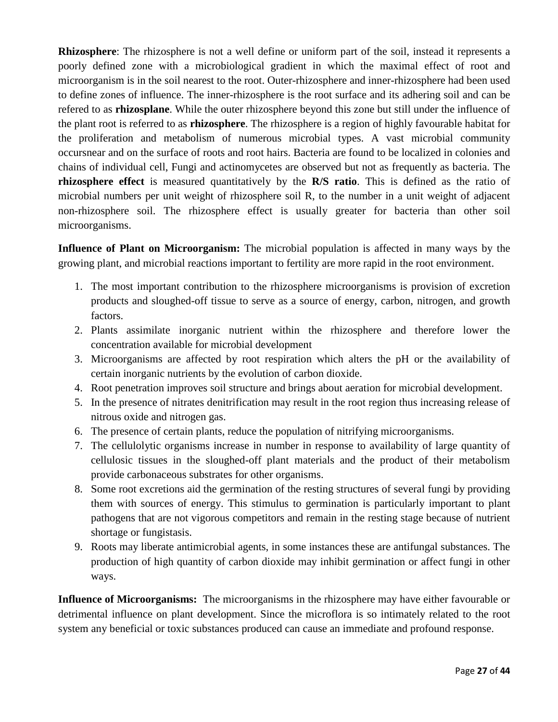**Rhizosphere**: The rhizosphere is not a well define or uniform part of the soil, instead it represents a poorly defined zone with a microbiological gradient in which the maximal effect of root and microorganism is in the soil nearest to the root. Outer-rhizosphere and inner-rhizosphere had been used to define zones of influence. The inner-rhizosphere is the root surface and its adhering soil and can be refered to as **rhizosplane**. While the outer rhizosphere beyond this zone but still under the influence of the plant root is referred to as **rhizosphere**. The rhizosphere is a region of highly favourable habitat for the proliferation and metabolism of numerous microbial types. A vast microbial community occursnear and on the surface of roots and root hairs. Bacteria are found to be localized in colonies and chains of individual cell, Fungi and actinomycetes are observed but not as frequently as bacteria. The **rhizosphere effect** is measured quantitatively by the **R/S ratio**. This is defined as the ratio of microbial numbers per unit weight of rhizosphere soil R, to the number in a unit weight of adjacent non-rhizosphere soil. The rhizosphere effect is usually greater for bacteria than other soil microorganisms.

**Influence of Plant on Microorganism:** The microbial population is affected in many ways by the growing plant, and microbial reactions important to fertility are more rapid in the root environment.

- 1. The most important contribution to the rhizosphere microorganisms is provision of excretion products and sloughed-off tissue to serve as a source of energy, carbon, nitrogen, and growth factors.
- 2. Plants assimilate inorganic nutrient within the rhizosphere and therefore lower the concentration available for microbial development
- 3. Microorganisms are affected by root respiration which alters the pH or the availability of certain inorganic nutrients by the evolution of carbon dioxide.
- 4. Root penetration improves soil structure and brings about aeration for microbial development.
- 5. In the presence of nitrates denitrification may result in the root region thus increasing release of nitrous oxide and nitrogen gas.
- 6. The presence of certain plants, reduce the population of nitrifying microorganisms.
- 7. The cellulolytic organisms increase in number in response to availability of large quantity of cellulosic tissues in the sloughed-off plant materials and the product of their metabolism provide carbonaceous substrates for other organisms.
- 8. Some root excretions aid the germination of the resting structures of several fungi by providing them with sources of energy. This stimulus to germination is particularly important to plant pathogens that are not vigorous competitors and remain in the resting stage because of nutrient shortage or fungistasis.
- 9. Roots may liberate antimicrobial agents, in some instances these are antifungal substances. The production of high quantity of carbon dioxide may inhibit germination or affect fungi in other ways.

**Influence of Microorganisms:** The microorganisms in the rhizosphere may have either favourable or detrimental influence on plant development. Since the microflora is so intimately related to the root system any beneficial or toxic substances produced can cause an immediate and profound response.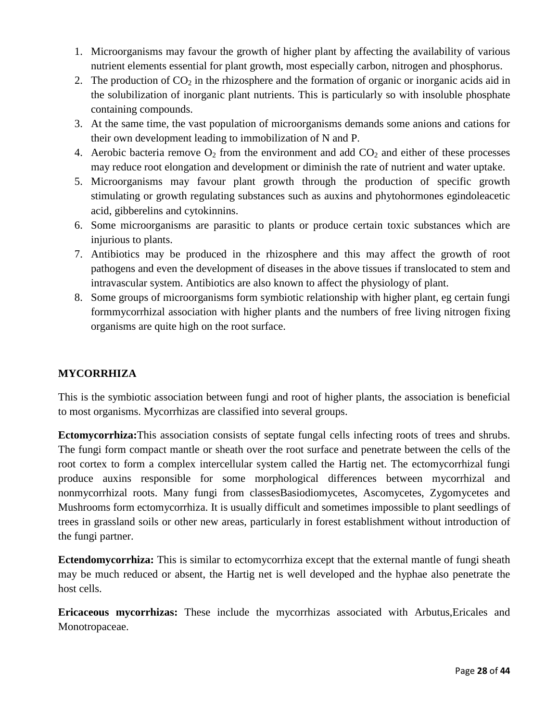- 1. Microorganisms may favour the growth of higher plant by affecting the availability of various nutrient elements essential for plant growth, most especially carbon, nitrogen and phosphorus.
- 2. The production of  $CO<sub>2</sub>$  in the rhizosphere and the formation of organic or inorganic acids aid in the solubilization of inorganic plant nutrients. This is particularly so with insoluble phosphate containing compounds.
- 3. At the same time, the vast population of microorganisms demands some anions and cations for their own development leading to immobilization of N and P.
- 4. Aerobic bacteria remove  $O_2$  from the environment and add  $CO_2$  and either of these processes may reduce root elongation and development or diminish the rate of nutrient and water uptake.
- 5. Microorganisms may favour plant growth through the production of specific growth stimulating or growth regulating substances such as auxins and phytohormones egindoleacetic acid, gibberelins and cytokinnins.
- 6. Some microorganisms are parasitic to plants or produce certain toxic substances which are injurious to plants.
- 7. Antibiotics may be produced in the rhizosphere and this may affect the growth of root pathogens and even the development of diseases in the above tissues if translocated to stem and intravascular system. Antibiotics are also known to affect the physiology of plant.
- 8. Some groups of microorganisms form symbiotic relationship with higher plant, eg certain fungi formmycorrhizal association with higher plants and the numbers of free living nitrogen fixing organisms are quite high on the root surface.

## **MYCORRHIZA**

This is the symbiotic association between fungi and root of higher plants, the association is beneficial to most organisms. Mycorrhizas are classified into several groups.

**Ectomycorrhiza:**This association consists of septate fungal cells infecting roots of trees and shrubs. The fungi form compact mantle or sheath over the root surface and penetrate between the cells of the root cortex to form a complex intercellular system called the Hartig net. The ectomycorrhizal fungi produce auxins responsible for some morphological differences between mycorrhizal and nonmycorrhizal roots. Many fungi from classesBasiodiomycetes, Ascomycetes, Zygomycetes and Mushrooms form ectomycorrhiza. It is usually difficult and sometimes impossible to plant seedlings of trees in grassland soils or other new areas, particularly in forest establishment without introduction of the fungi partner.

**Ectendomycorrhiza:** This is similar to ectomycorrhiza except that the external mantle of fungi sheath may be much reduced or absent, the Hartig net is well developed and the hyphae also penetrate the host cells.

**Ericaceous mycorrhizas:** These include the mycorrhizas associated with Arbutus,Ericales and Monotropaceae.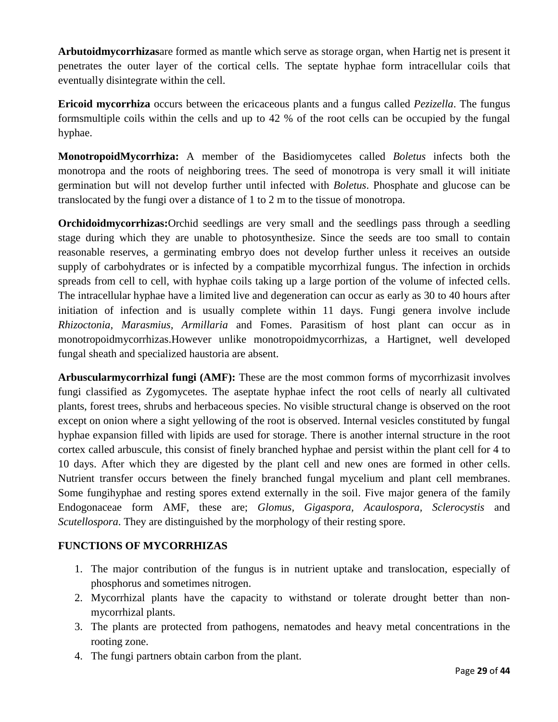**Arbutoidmycorrhizas**are formed as mantle which serve as storage organ, when Hartig net is present it penetrates the outer layer of the cortical cells. The septate hyphae form intracellular coils that eventually disintegrate within the cell.

**Ericoid mycorrhiza** occurs between the ericaceous plants and a fungus called *Pezizella*. The fungus formsmultiple coils within the cells and up to 42 % of the root cells can be occupied by the fungal hyphae.

**MonotropoidMycorrhiza:** A member of the Basidiomycetes called *Boletus* infects both the monotropa and the roots of neighboring trees. The seed of monotropa is very small it will initiate germination but will not develop further until infected with *Boletus*. Phosphate and glucose can be translocated by the fungi over a distance of 1 to 2 m to the tissue of monotropa.

**Orchidoidmycorrhizas:**Orchid seedlings are very small and the seedlings pass through a seedling stage during which they are unable to photosynthesize. Since the seeds are too small to contain reasonable reserves, a germinating embryo does not develop further unless it receives an outside supply of carbohydrates or is infected by a compatible mycorrhizal fungus. The infection in orchids spreads from cell to cell, with hyphae coils taking up a large portion of the volume of infected cells. The intracellular hyphae have a limited live and degeneration can occur as early as 30 to 40 hours after initiation of infection and is usually complete within 11 days. Fungi genera involve include *Rhizoctonia, Marasmius, Armillaria* and Fomes. Parasitism of host plant can occur as in monotropoidmycorrhizas.However unlike monotropoidmycorrhizas, a Hartignet, well developed fungal sheath and specialized haustoria are absent.

**Arbuscularmycorrhizal fungi (AMF):** These are the most common forms of mycorrhizasit involves fungi classified as Zygomycetes. The aseptate hyphae infect the root cells of nearly all cultivated plants, forest trees, shrubs and herbaceous species. No visible structural change is observed on the root except on onion where a sight yellowing of the root is observed. Internal vesicles constituted by fungal hyphae expansion filled with lipids are used for storage. There is another internal structure in the root cortex called arbuscule, this consist of finely branched hyphae and persist within the plant cell for 4 to 10 days. After which they are digested by the plant cell and new ones are formed in other cells. Nutrient transfer occurs between the finely branched fungal mycelium and plant cell membranes. Some fungihyphae and resting spores extend externally in the soil. Five major genera of the family Endogonaceae form AMF, these are; *Glomus, Gigaspora, Acaulospora, Sclerocystis* and *Scutellospora*. They are distinguished by the morphology of their resting spore.

## **FUNCTIONS OF MYCORRHIZAS**

- 1. The major contribution of the fungus is in nutrient uptake and translocation, especially of phosphorus and sometimes nitrogen.
- 2. Mycorrhizal plants have the capacity to withstand or tolerate drought better than nonmycorrhizal plants.
- 3. The plants are protected from pathogens, nematodes and heavy metal concentrations in the rooting zone.
- 4. The fungi partners obtain carbon from the plant.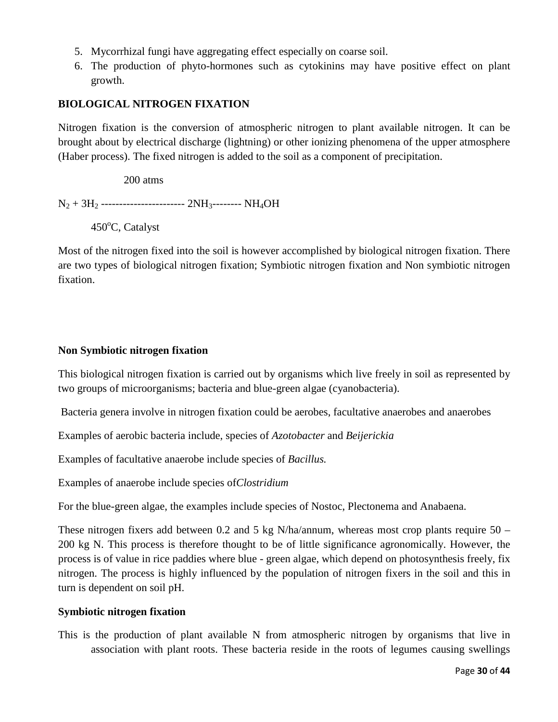- 5. Mycorrhizal fungi have aggregating effect especially on coarse soil.
- 6. The production of phyto-hormones such as cytokinins may have positive effect on plant growth.

## **BIOLOGICAL NITROGEN FIXATION**

Nitrogen fixation is the conversion of atmospheric nitrogen to plant available nitrogen. It can be brought about by electrical discharge (lightning) or other ionizing phenomena of the upper atmosphere (Haber process). The fixed nitrogen is added to the soil as a component of precipitation.

200 atms

 $N_2 + 3H_2$  --------------------------  $2NH_3$ --------  $NH_4OH$ 

450°C, Catalyst

Most of the nitrogen fixed into the soil is however accomplished by biological nitrogen fixation. There are two types of biological nitrogen fixation; Symbiotic nitrogen fixation and Non symbiotic nitrogen fixation.

## **Non Symbiotic nitrogen fixation**

This biological nitrogen fixation is carried out by organisms which live freely in soil as represented by two groups of microorganisms; bacteria and blue-green algae (cyanobacteria).

Bacteria genera involve in nitrogen fixation could be aerobes, facultative anaerobes and anaerobes

Examples of aerobic bacteria include, species of *Azotobacter* and *Beijerickia* 

Examples of facultative anaerobe include species of *Bacillus.*

Examples of anaerobe include species of*Clostridium* 

For the blue-green algae, the examples include species of Nostoc, Plectonema and Anabaena.

These nitrogen fixers add between 0.2 and 5 kg N/ha/annum, whereas most crop plants require  $50 -$ 200 kg N. This process is therefore thought to be of little significance agronomically. However, the process is of value in rice paddies where blue - green algae, which depend on photosynthesis freely, fix nitrogen. The process is highly influenced by the population of nitrogen fixers in the soil and this in turn is dependent on soil pH.

## **Symbiotic nitrogen fixation**

This is the production of plant available N from atmospheric nitrogen by organisms that live in association with plant roots. These bacteria reside in the roots of legumes causing swellings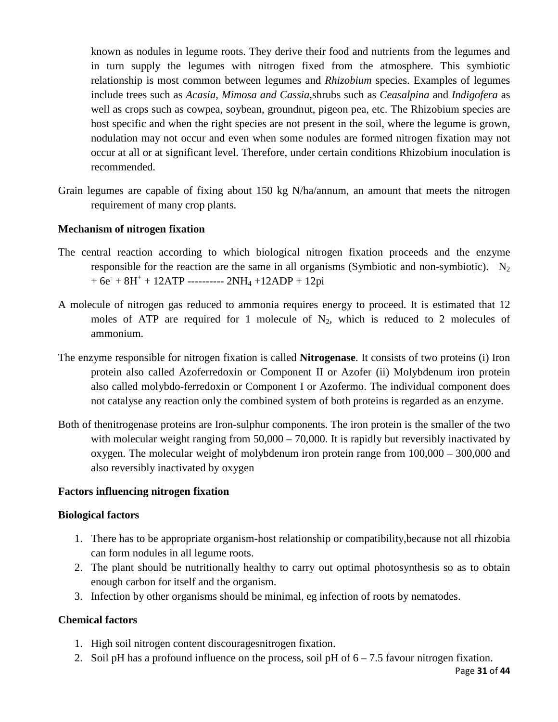known as nodules in legume roots. They derive their food and nutrients from the legumes and in turn supply the legumes with nitrogen fixed from the atmosphere. This symbiotic relationship is most common between legumes and *Rhizobium* species. Examples of legumes include trees such as *Acasia, Mimosa and Cassia,*shrubs such as *Ceasalpina* and *Indigofera* as well as crops such as cowpea, soybean, groundnut, pigeon pea, etc. The Rhizobium species are host specific and when the right species are not present in the soil, where the legume is grown, nodulation may not occur and even when some nodules are formed nitrogen fixation may not occur at all or at significant level. Therefore, under certain conditions Rhizobium inoculation is recommended.

Grain legumes are capable of fixing about 150 kg N/ha/annum, an amount that meets the nitrogen requirement of many crop plants.

## **Mechanism of nitrogen fixation**

- The central reaction according to which biological nitrogen fixation proceeds and the enzyme responsible for the reaction are the same in all organisms (Symbiotic and non-symbiotic). N<sub>2</sub>  $+6e + 8H^+ + 12ATP$  ----------  $2NH_4 + 12ADP + 12pi$
- A molecule of nitrogen gas reduced to ammonia requires energy to proceed. It is estimated that 12 moles of ATP are required for 1 molecule of  $N_2$ , which is reduced to 2 molecules of ammonium.
- The enzyme responsible for nitrogen fixation is called **Nitrogenase**. It consists of two proteins (i) Iron protein also called Azoferredoxin or Component II or Azofer (ii) Molybdenum iron protein also called molybdo-ferredoxin or Component I or Azofermo. The individual component does not catalyse any reaction only the combined system of both proteins is regarded as an enzyme.
- Both of thenitrogenase proteins are Iron-sulphur components. The iron protein is the smaller of the two with molecular weight ranging from  $50,000 - 70,000$ . It is rapidly but reversibly inactivated by oxygen. The molecular weight of molybdenum iron protein range from 100,000 – 300,000 and also reversibly inactivated by oxygen

## **Factors influencing nitrogen fixation**

## **Biological factors**

- 1. There has to be appropriate organism-host relationship or compatibility,because not all rhizobia can form nodules in all legume roots.
- 2. The plant should be nutritionally healthy to carry out optimal photosynthesis so as to obtain enough carbon for itself and the organism.
- 3. Infection by other organisms should be minimal, eg infection of roots by nematodes.

## **Chemical factors**

- 1. High soil nitrogen content discouragesnitrogen fixation.
- 2. Soil pH has a profound influence on the process, soil pH of  $6 7.5$  favour nitrogen fixation.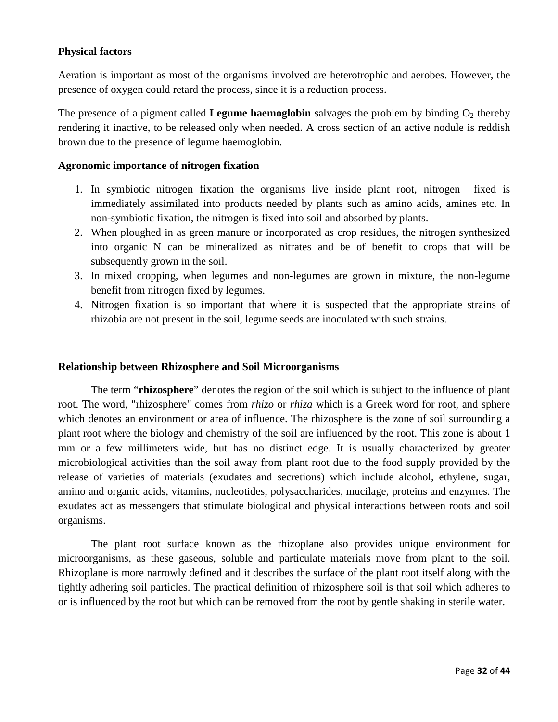## **Physical factors**

Aeration is important as most of the organisms involved are heterotrophic and aerobes. However, the presence of oxygen could retard the process, since it is a reduction process.

The presence of a pigment called **Legume haemoglobin** salvages the problem by binding  $O_2$  thereby rendering it inactive, to be released only when needed. A cross section of an active nodule is reddish brown due to the presence of legume haemoglobin.

## **Agronomic importance of nitrogen fixation**

- 1. In symbiotic nitrogen fixation the organisms live inside plant root, nitrogen fixed is immediately assimilated into products needed by plants such as amino acids, amines etc. In non-symbiotic fixation, the nitrogen is fixed into soil and absorbed by plants.
- 2. When ploughed in as green manure or incorporated as crop residues, the nitrogen synthesized into organic N can be mineralized as nitrates and be of benefit to crops that will be subsequently grown in the soil.
- 3. In mixed cropping, when legumes and non-legumes are grown in mixture, the non-legume benefit from nitrogen fixed by legumes.
- 4. Nitrogen fixation is so important that where it is suspected that the appropriate strains of rhizobia are not present in the soil, legume seeds are inoculated with such strains.

#### **Relationship between Rhizosphere and Soil Microorganisms**

The term "**rhizosphere**" denotes the region of the soil which is subject to the influence of plant root. The word, "rhizosphere" comes from *rhizo* or *rhiza* which is a Greek word for root, and sphere which denotes an environment or area of influence. The rhizosphere is the zone of soil surrounding a plant root where the biology and chemistry of the soil are influenced by the root. This zone is about 1 mm or a few millimeters wide, but has no distinct edge. It is usually characterized by greater microbiological activities than the soil away from plant root due to the food supply provided by the release of varieties of materials (exudates and secretions) which include alcohol, ethylene, sugar, amino and organic acids, vitamins, nucleotides, polysaccharides, mucilage, proteins and enzymes. The exudates act as messengers that stimulate biological and physical interactions between roots and soil organisms.

The plant root surface known as the rhizoplane also provides unique environment for microorganisms, as these gaseous, soluble and particulate materials move from plant to the soil. Rhizoplane is more narrowly defined and it describes the surface of the plant root itself along with the tightly adhering soil particles. The practical definition of rhizosphere soil is that soil which adheres to or is influenced by the root but which can be removed from the root by gentle shaking in sterile water.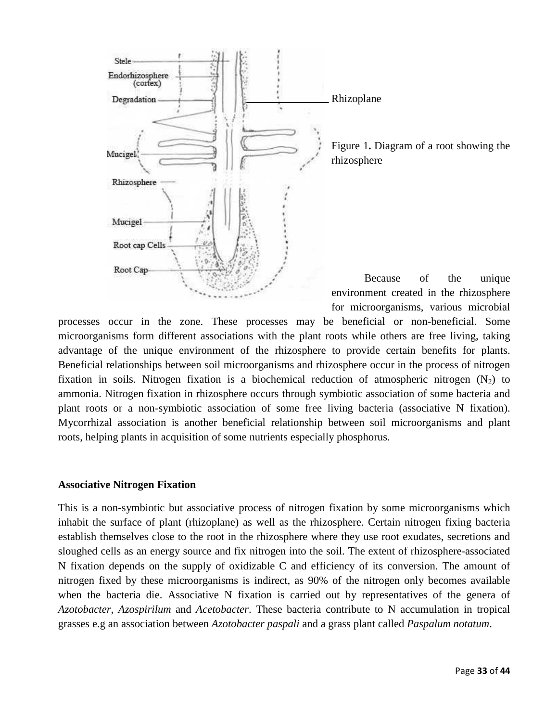

Figure 1**.** Diagram of a root showing the

Because of the unique environment created in the rhizosphere for microorganisms, various microbial

processes occur in the zone. These processes may be beneficial or non-beneficial. Some microorganisms form different associations with the plant roots while others are free living, taking advantage of the unique environment of the rhizosphere to provide certain benefits for plants. Beneficial relationships between soil microorganisms and rhizosphere occur in the process of nitrogen fixation in soils. Nitrogen fixation is a biochemical reduction of atmospheric nitrogen  $(N_2)$  to ammonia. Nitrogen fixation in rhizosphere occurs through symbiotic association of some bacteria and plant roots or a non-symbiotic association of some free living bacteria (associative N fixation). Mycorrhizal association is another beneficial relationship between soil microorganisms and plant roots, helping plants in acquisition of some nutrients especially phosphorus.

## **Associative Nitrogen Fixation**

This is a non-symbiotic but associative process of nitrogen fixation by some microorganisms which inhabit the surface of plant (rhizoplane) as well as the rhizosphere. Certain nitrogen fixing bacteria establish themselves close to the root in the rhizosphere where they use root exudates, secretions and sloughed cells as an energy source and fix nitrogen into the soil. The extent of rhizosphere-associated N fixation depends on the supply of oxidizable C and efficiency of its conversion. The amount of nitrogen fixed by these microorganisms is indirect, as 90% of the nitrogen only becomes available when the bacteria die. Associative N fixation is carried out by representatives of the genera of *Azotobacter, Azospirilum* and *Acetobacter*. These bacteria contribute to N accumulation in tropical grasses e.g an association between *Azotobacter paspali* and a grass plant called *Paspalum notatum*.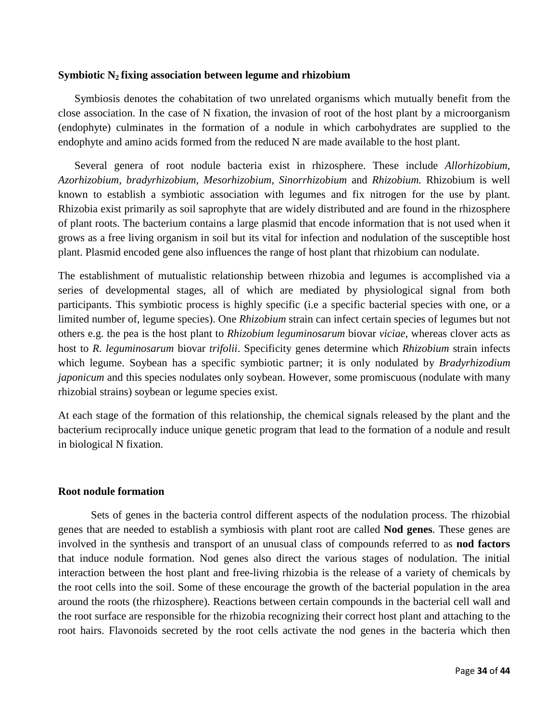#### **Symbiotic N2 fixing association between legume and rhizobium**

Symbiosis denotes the cohabitation of two unrelated organisms which mutually benefit from the close association. In the case of N fixation, the invasion of root of the host plant by a microorganism (endophyte) culminates in the formation of a nodule in which carbohydrates are supplied to the endophyte and amino acids formed from the reduced N are made available to the host plant.

Several genera of root nodule bacteria exist in rhizosphere. These include *Allorhizobium, Azorhizobium, bradyrhizobium, Mesorhizobium, Sinorrhizobium* and *Rhizobium.* Rhizobium is well known to establish a symbiotic association with legumes and fix nitrogen for the use by plant. Rhizobia exist primarily as soil saprophyte that are widely distributed and are found in the rhizosphere of plant roots. The bacterium contains a large plasmid that encode information that is not used when it grows as a free living organism in soil but its vital for infection and nodulation of the susceptible host plant. Plasmid encoded gene also influences the range of host plant that rhizobium can nodulate.

The establishment of mutualistic relationship between rhizobia and legumes is accomplished via a series of developmental stages, all of which are mediated by physiological signal from both participants. This symbiotic process is highly specific (i.e a specific bacterial species with one, or a limited number of, legume species). One *Rhizobium* strain can infect certain species of legumes but not others e.g. the pea is the host plant to *Rhizobium leguminosarum* biovar *viciae*, whereas clover acts as host to *R. leguminosarum* biovar *trifolii*. Specificity genes determine which *Rhizobium* strain infects which legume. Soybean has a specific symbiotic partner; it is only nodulated by *Bradyrhizodium japonicum* and this species nodulates only soybean. However, some promiscuous (nodulate with many rhizobial strains) soybean or legume species exist.

At each stage of the formation of this relationship, the chemical signals released by the plant and the bacterium reciprocally induce unique genetic program that lead to the formation of a nodule and result in biological N fixation.

#### **Root nodule formation**

Sets of genes in the bacteria control different aspects of the nodulation process. The rhizobial genes that are needed to establish a symbiosis with plant root are called **Nod genes**. These genes are involved in the synthesis and transport of an unusual class of compounds referred to as **nod factors** that induce nodule formation. Nod genes also direct the various stages of nodulation. The initial interaction between the host plant and free-living rhizobia is the release of a variety of chemicals by the root cells into the soil. Some of these encourage the growth of the bacterial population in the area around the roots (the rhizosphere). Reactions between certain compounds in the bacterial cell wall and the root surface are responsible for the rhizobia recognizing their correct host plant and attaching to the root hairs. Flavonoids secreted by the root cells activate the nod genes in the bacteria which then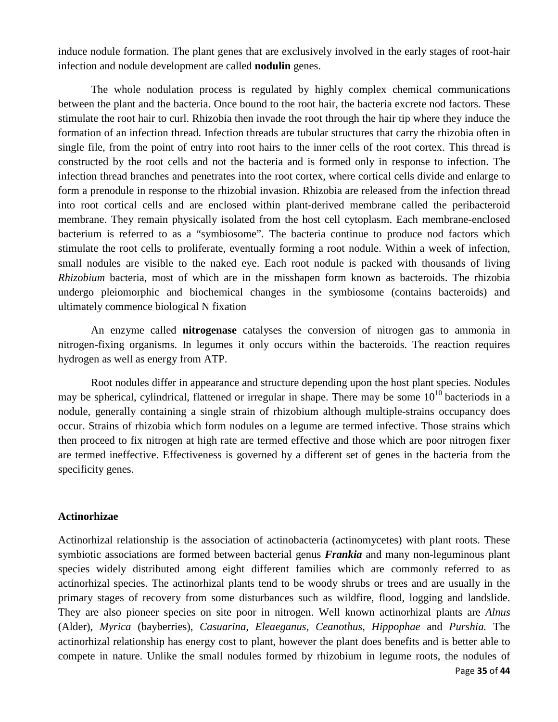induce nodule formation. The plant genes that are exclusively involved in the early stages of root-hair infection and nodule development are called **nodulin** genes.

The whole nodulation process is regulated by highly complex chemical communications between the plant and the bacteria. Once bound to the root hair, the bacteria excrete nod factors. These stimulate the root hair to curl. Rhizobia then invade the root through the hair tip where they induce the formation of an infection thread. Infection threads are tubular structures that carry the rhizobia often in single file, from the point of entry into root hairs to the inner cells of the root cortex. This thread is constructed by the root cells and not the bacteria and is formed only in response to infection. The infection thread branches and penetrates into the root cortex, where cortical cells divide and enlarge to form a prenodule in response to the rhizobial invasion. Rhizobia are released from the infection thread into root cortical cells and are enclosed within plant-derived membrane called the peribacteroid membrane. They remain physically isolated from the host cell cytoplasm. Each membrane-enclosed bacterium is referred to as a "symbiosome". The bacteria continue to produce nod factors which stimulate the root cells to proliferate, eventually forming a root nodule. Within a week of infection, small nodules are visible to the naked eye. Each root nodule is packed with thousands of living *Rhizobium* bacteria, most of which are in the misshapen form known as bacteroids. The rhizobia undergo pleiomorphic and biochemical changes in the symbiosome (contains bacteroids) and ultimately commence biological N fixation

An enzyme called **nitrogenase** catalyses the conversion of nitrogen gas to ammonia in nitrogen-fixing organisms. In legumes it only occurs within the bacteroids. The reaction requires hydrogen as well as energy from ATP.

Root nodules differ in appearance and structure depending upon the host plant species. Nodules may be spherical, cylindrical, flattened or irregular in shape. There may be some  $10^{10}$  bacteriods in a nodule, generally containing a single strain of rhizobium although multiple-strains occupancy does occur. Strains of rhizobia which form nodules on a legume are termed infective. Those strains which then proceed to fix nitrogen at high rate are termed effective and those which are poor nitrogen fixer are termed ineffective. Effectiveness is governed by a different set of genes in the bacteria from the specificity genes.

## **Actinorhizae**

Actinorhizal relationship is the association of actinobacteria (actinomycetes) with plant roots. These symbiotic associations are formed between bacterial genus *Frankia* and many non-leguminous plant species widely distributed among eight different families which are commonly referred to as actinorhizal species. The actinorhizal plants tend to be woody shrubs or trees and are usually in the primary stages of recovery from some disturbances such as wildfire, flood, logging and landslide. They are also pioneer species on site poor in nitrogen. Well known actinorhizal plants are *Alnus* (Alder), *Myrica* (bayberries), *Casuarina, Eleaeganus, Ceanothus*, *Hippophae* and *Purshia.* The actinorhizal relationship has energy cost to plant, however the plant does benefits and is better able to compete in nature. Unlike the small nodules formed by rhizobium in legume roots, the nodules of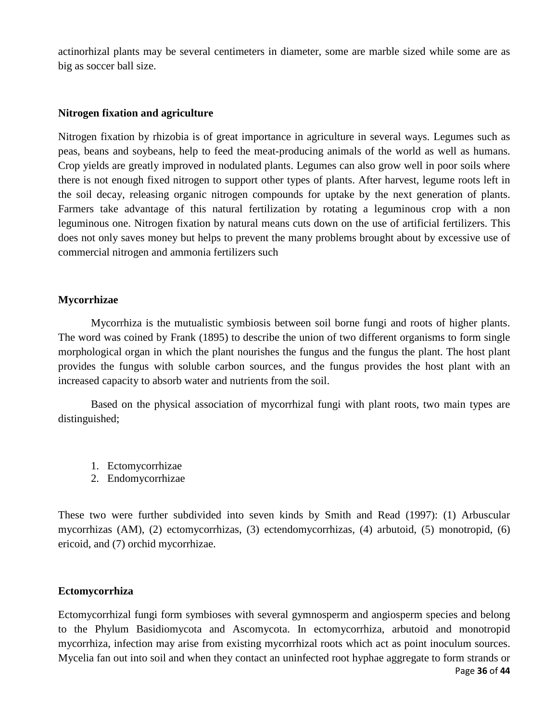actinorhizal plants may be several centimeters in diameter, some are marble sized while some are as big as soccer ball size.

## **Nitrogen fixation and agriculture**

Nitrogen fixation by rhizobia is of great importance in agriculture in several ways. Legumes such as peas, beans and soybeans, help to feed the meat-producing animals of the world as well as humans. Crop yields are greatly improved in nodulated plants. Legumes can also grow well in poor soils where there is not enough fixed nitrogen to support other types of plants. After harvest, legume roots left in the soil decay, releasing organic nitrogen compounds for uptake by the next generation of plants. Farmers take advantage of this natural fertilization by rotating a leguminous crop with a non leguminous one. Nitrogen fixation by natural means cuts down on the use of artificial fertilizers. This does not only saves money but helps to prevent the many problems brought about by excessive use of commercial nitrogen and ammonia fertilizers such

#### **Mycorrhizae**

Mycorrhiza is the mutualistic symbiosis between soil borne fungi and roots of higher plants. The word was coined by Frank (1895) to describe the union of two different organisms to form single morphological organ in which the plant nourishes the fungus and the fungus the plant. The host plant provides the fungus with soluble carbon sources, and the fungus provides the host plant with an increased capacity to absorb water and nutrients from the soil.

Based on the physical association of mycorrhizal fungi with plant roots, two main types are distinguished;

- 1. Ectomycorrhizae
- 2. Endomycorrhizae

These two were further subdivided into seven kinds by Smith and Read (1997): (1) Arbuscular mycorrhizas (AM), (2) ectomycorrhizas, (3) ectendomycorrhizas, (4) arbutoid, (5) monotropid, (6) ericoid, and (7) orchid mycorrhizae.

#### **Ectomycorrhiza**

Page **36** of **44** Ectomycorrhizal fungi form symbioses with several gymnosperm and angiosperm species and belong to the Phylum Basidiomycota and Ascomycota. In ectomycorrhiza, arbutoid and monotropid mycorrhiza, infection may arise from existing mycorrhizal roots which act as point inoculum sources. Mycelia fan out into soil and when they contact an uninfected root hyphae aggregate to form strands or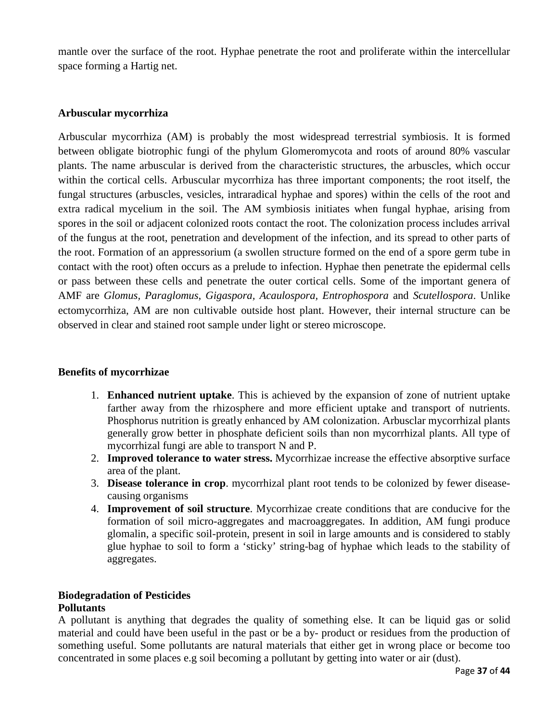mantle over the surface of the root. Hyphae penetrate the root and proliferate within the intercellular space forming a Hartig net.

#### **Arbuscular mycorrhiza**

Arbuscular mycorrhiza (AM) is probably the most widespread terrestrial symbiosis. It is formed between obligate biotrophic fungi of the phylum Glomeromycota and roots of around 80% vascular plants. The name arbuscular is derived from the characteristic structures, the arbuscles, which occur within the cortical cells. Arbuscular mycorrhiza has three important components; the root itself, the fungal structures (arbuscles, vesicles, intraradical hyphae and spores) within the cells of the root and extra radical mycelium in the soil. The AM symbiosis initiates when fungal hyphae, arising from spores in the soil or adjacent colonized roots contact the root. The colonization process includes arrival of the fungus at the root, penetration and development of the infection, and its spread to other parts of the root. Formation of an appressorium (a swollen structure formed on the end of a spore germ tube in contact with the root) often occurs as a prelude to infection. Hyphae then penetrate the epidermal cells or pass between these cells and penetrate the outer cortical cells. Some of the important genera of AMF are *Glomus, Paraglomus*, *Gigaspora, Acaulospora, Entrophospora* and *Scutellospora*. Unlike ectomycorrhiza, AM are non cultivable outside host plant. However, their internal structure can be observed in clear and stained root sample under light or stereo microscope.

## **Benefits of mycorrhizae**

- 1. **Enhanced nutrient uptake**. This is achieved by the expansion of zone of nutrient uptake farther away from the rhizosphere and more efficient uptake and transport of nutrients. Phosphorus nutrition is greatly enhanced by AM colonization. Arbusclar mycorrhizal plants generally grow better in phosphate deficient soils than non mycorrhizal plants. All type of mycorrhizal fungi are able to transport N and P.
- 2. **Improved tolerance to water stress.** Mycorrhizae increase the effective absorptive surface area of the plant.
- 3. **Disease tolerance in crop**. mycorrhizal plant root tends to be colonized by fewer diseasecausing organisms
- 4. **Improvement of soil structure**. Mycorrhizae create conditions that are conducive for the formation of soil micro-aggregates and macroaggregates. In addition, AM fungi produce glomalin, a specific soil-protein, present in soil in large amounts and is considered to stably glue hyphae to soil to form a 'sticky' string-bag of hyphae which leads to the stability of aggregates.

## **Biodegradation of Pesticides Pollutants**

A pollutant is anything that degrades the quality of something else. It can be liquid gas or solid material and could have been useful in the past or be a by- product or residues from the production of something useful. Some pollutants are natural materials that either get in wrong place or become too concentrated in some places e.g soil becoming a pollutant by getting into water or air (dust).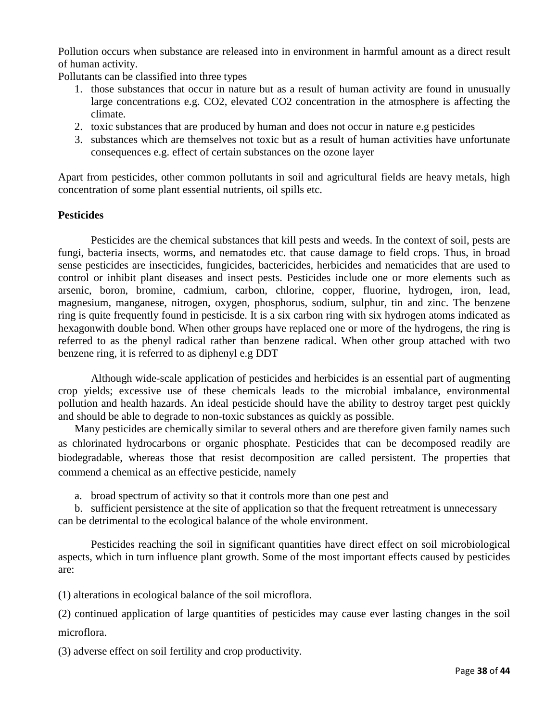Pollution occurs when substance are released into in environment in harmful amount as a direct result of human activity.

Pollutants can be classified into three types

- 1. those substances that occur in nature but as a result of human activity are found in unusually large concentrations e.g. CO2, elevated CO2 concentration in the atmosphere is affecting the climate.
- 2. toxic substances that are produced by human and does not occur in nature e.g pesticides
- 3. substances which are themselves not toxic but as a result of human activities have unfortunate consequences e.g. effect of certain substances on the ozone layer

Apart from pesticides, other common pollutants in soil and agricultural fields are heavy metals, high concentration of some plant essential nutrients, oil spills etc.

## **Pesticides**

Pesticides are the chemical substances that kill pests and weeds. In the context of soil, pests are fungi, bacteria insects, worms, and nematodes etc. that cause damage to field crops. Thus, in broad sense pesticides are insecticides, fungicides, bactericides, herbicides and nematicides that are used to control or inhibit plant diseases and insect pests. Pesticides include one or more elements such as arsenic, boron, bromine, cadmium, carbon, chlorine, copper, fluorine, hydrogen, iron, lead, magnesium, manganese, nitrogen, oxygen, phosphorus, sodium, sulphur, tin and zinc. The benzene ring is quite frequently found in pesticisde. It is a six carbon ring with six hydrogen atoms indicated as hexagonwith double bond. When other groups have replaced one or more of the hydrogens, the ring is referred to as the phenyl radical rather than benzene radical. When other group attached with two benzene ring, it is referred to as diphenyl e.g DDT

Although wide-scale application of pesticides and herbicides is an essential part of augmenting crop yields; excessive use of these chemicals leads to the microbial imbalance, environmental pollution and health hazards. An ideal pesticide should have the ability to destroy target pest quickly and should be able to degrade to non-toxic substances as quickly as possible.

Many pesticides are chemically similar to several others and are therefore given family names such as chlorinated hydrocarbons or organic phosphate. Pesticides that can be decomposed readily are biodegradable, whereas those that resist decomposition are called persistent. The properties that commend a chemical as an effective pesticide, namely

a. broad spectrum of activity so that it controls more than one pest and

b. sufficient persistence at the site of application so that the frequent retreatment is unnecessary can be detrimental to the ecological balance of the whole environment.

Pesticides reaching the soil in significant quantities have direct effect on soil microbiological aspects, which in turn influence plant growth. Some of the most important effects caused by pesticides are:

(1) alterations in ecological balance of the soil microflora.

(2) continued application of large quantities of pesticides may cause ever lasting changes in the soil microflora.

(3) adverse effect on soil fertility and crop productivity.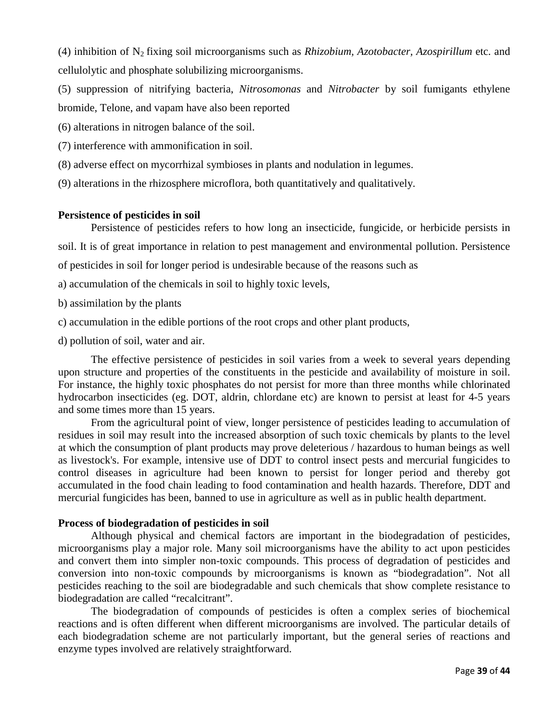(4) inhibition of N2 fixing soil microorganisms such as *Rhizobium, Azotobacter, Azospirillum* etc. and cellulolytic and phosphate solubilizing microorganisms.

(5) suppression of nitrifying bacteria, *Nitrosomonas* and *Nitrobacter* by soil fumigants ethylene bromide, Telone, and vapam have also been reported

(6) alterations in nitrogen balance of the soil.

(7) interference with ammonification in soil.

- (8) adverse effect on mycorrhizal symbioses in plants and nodulation in legumes.
- (9) alterations in the rhizosphere microflora, both quantitatively and qualitatively.

#### **Persistence of pesticides in soil**

Persistence of pesticides refers to how long an insecticide, fungicide, or herbicide persists in soil. It is of great importance in relation to pest management and environmental pollution. Persistence

of pesticides in soil for longer period is undesirable because of the reasons such as

- a) accumulation of the chemicals in soil to highly toxic levels,
- b) assimilation by the plants
- c) accumulation in the edible portions of the root crops and other plant products,
- d) pollution of soil, water and air.

The effective persistence of pesticides in soil varies from a week to several years depending upon structure and properties of the constituents in the pesticide and availability of moisture in soil. For instance, the highly toxic phosphates do not persist for more than three months while chlorinated hydrocarbon insecticides (eg. DOT, aldrin, chlordane etc) are known to persist at least for 4-5 years and some times more than 15 years.

From the agricultural point of view, longer persistence of pesticides leading to accumulation of residues in soil may result into the increased absorption of such toxic chemicals by plants to the level at which the consumption of plant products may prove deleterious / hazardous to human beings as well as livestock's. For example, intensive use of DDT to control insect pests and mercurial fungicides to control diseases in agriculture had been known to persist for longer period and thereby got accumulated in the food chain leading to food contamination and health hazards. Therefore, DDT and mercurial fungicides has been, banned to use in agriculture as well as in public health department.

#### **Process of biodegradation of pesticides in soil**

Although physical and chemical factors are important in the biodegradation of pesticides, microorganisms play a major role. Many soil microorganisms have the ability to act upon pesticides and convert them into simpler non-toxic compounds. This process of degradation of pesticides and conversion into non-toxic compounds by microorganisms is known as "biodegradation". Not all pesticides reaching to the soil are biodegradable and such chemicals that show complete resistance to biodegradation are called "recalcitrant".

The biodegradation of compounds of pesticides is often a complex series of biochemical reactions and is often different when different microorganisms are involved. The particular details of each biodegradation scheme are not particularly important, but the general series of reactions and enzyme types involved are relatively straightforward.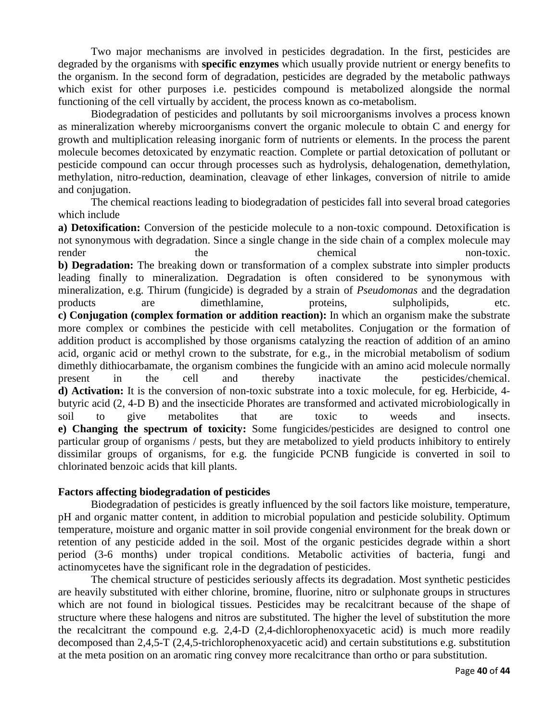Two major mechanisms are involved in pesticides degradation. In the first, pesticides are degraded by the organisms with **specific enzymes** which usually provide nutrient or energy benefits to the organism. In the second form of degradation, pesticides are degraded by the metabolic pathways which exist for other purposes i.e. pesticides compound is metabolized alongside the normal functioning of the cell virtually by accident, the process known as co-metabolism.

Biodegradation of pesticides and pollutants by soil microorganisms involves a process known as mineralization whereby microorganisms convert the organic molecule to obtain C and energy for growth and multiplication releasing inorganic form of nutrients or elements. In the process the parent molecule becomes detoxicated by enzymatic reaction. Complete or partial detoxication of pollutant or pesticide compound can occur through processes such as hydrolysis, dehalogenation, demethylation, methylation, nitro-reduction, deamination, cleavage of ether linkages, conversion of nitrile to amide and conjugation.

The chemical reactions leading to biodegradation of pesticides fall into several broad categories which include

**a) Detoxification:** Conversion of the pesticide molecule to a non-toxic compound. Detoxification is not synonymous with degradation. Since a single change in the side chain of a complex molecule may render the the chemical chemical non-toxic. **b) Degradation:** The breaking down or transformation of a complex substrate into simpler products leading finally to mineralization. Degradation is often considered to be synonymous with mineralization, e.g. Thirum (fungicide) is degraded by a strain of *Pseudomonas* and the degradation products are dimethlamine, proteins, sulpholipids, etc. **c) Conjugation (complex formation or addition reaction):** In which an organism make the substrate more complex or combines the pesticide with cell metabolites. Conjugation or the formation of addition product is accomplished by those organisms catalyzing the reaction of addition of an amino acid, organic acid or methyl crown to the substrate, for e.g., in the microbial metabolism of sodium dimethly dithiocarbamate, the organism combines the fungicide with an amino acid molecule normally present in the cell and thereby inactivate the pesticides/chemical. **d) Activation:** It is the conversion of non-toxic substrate into a toxic molecule, for eg. Herbicide, 4 butyric acid (2, 4-D B) and the insecticide Phorates are transformed and activated microbiologically in soil to give metabolites that are toxic to weeds and insects. **e) Changing the spectrum of toxicity:** Some fungicides/pesticides are designed to control one particular group of organisms / pests, but they are metabolized to yield products inhibitory to entirely dissimilar groups of organisms, for e.g. the fungicide PCNB fungicide is converted in soil to chlorinated benzoic acids that kill plants.

#### **Factors affecting biodegradation of pesticides**

Biodegradation of pesticides is greatly influenced by the soil factors like moisture, temperature, pH and organic matter content, in addition to microbial population and pesticide solubility. Optimum temperature, moisture and organic matter in soil provide congenial environment for the break down or retention of any pesticide added in the soil. Most of the organic pesticides degrade within a short period (3-6 months) under tropical conditions. Metabolic activities of bacteria, fungi and actinomycetes have the significant role in the degradation of pesticides.

The chemical structure of pesticides seriously affects its degradation. Most synthetic pesticides are heavily substituted with either chlorine, bromine, fluorine, nitro or sulphonate groups in structures which are not found in biological tissues. Pesticides may be recalcitrant because of the shape of structure where these halogens and nitros are substituted. The higher the level of substitution the more the recalcitrant the compound e.g. 2,4-D (2,4-dichlorophenoxyacetic acid) is much more readily decomposed than 2,4,5-T (2,4,5-trichlorophenoxyacetic acid) and certain substitutions e.g. substitution at the meta position on an aromatic ring convey more recalcitrance than ortho or para substitution.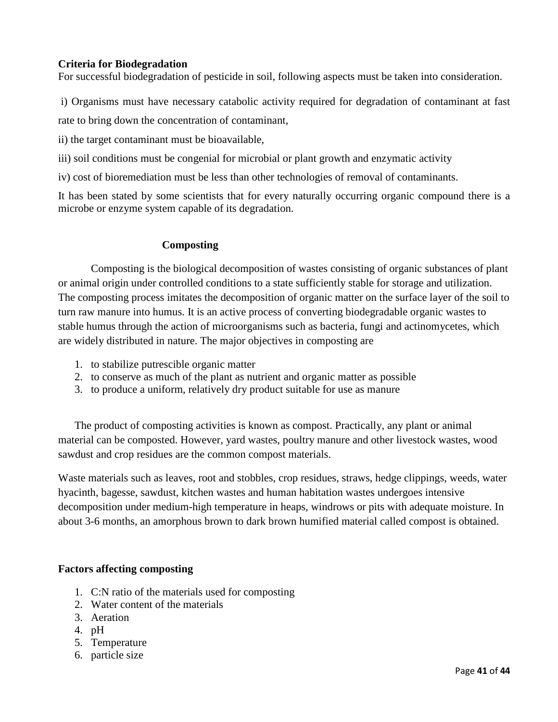## **Criteria for Biodegradation**

For successful biodegradation of pesticide in soil, following aspects must be taken into consideration.

i) Organisms must have necessary catabolic activity required for degradation of contaminant at fast

rate to bring down the concentration of contaminant,

ii) the target contaminant must be bioavailable,

iii) soil conditions must be congenial for microbial or plant growth and enzymatic activity

iv) cost of bioremediation must be less than other technologies of removal of contaminants.

It has been stated by some scientists that for every naturally occurring organic compound there is a microbe or enzyme system capable of its degradation.

## **Composting**

Composting is the biological decomposition of wastes consisting of organic substances of plant or animal origin under controlled conditions to a state sufficiently stable for storage and utilization. The composting process imitates the decomposition of organic matter on the surface layer of the soil to turn raw manure into humus. It is an active process of converting biodegradable organic wastes to stable humus through the action of microorganisms such as bacteria, fungi and actinomycetes, which are widely distributed in nature. The major objectives in composting are

- 1. to stabilize putrescible organic matter
- 2. to conserve as much of the plant as nutrient and organic matter as possible
- 3. to produce a uniform, relatively dry product suitable for use as manure

The product of composting activities is known as compost. Practically, any plant or animal material can be composted. However, yard wastes, poultry manure and other livestock wastes, wood sawdust and crop residues are the common compost materials.

Waste materials such as leaves, root and stobbles, crop residues, straws, hedge clippings, weeds, water hyacinth, bagesse, sawdust, kitchen wastes and human habitation wastes undergoes intensive decomposition under medium-high temperature in heaps, windrows or pits with adequate moisture. In about 3-6 months, an amorphous brown to dark brown humified material called compost is obtained.

## **Factors affecting composting**

- 1. C:N ratio of the materials used for composting
- 2. Water content of the materials
- 3. Aeration
- 4. pH
- 5. Temperature
- 6. particle size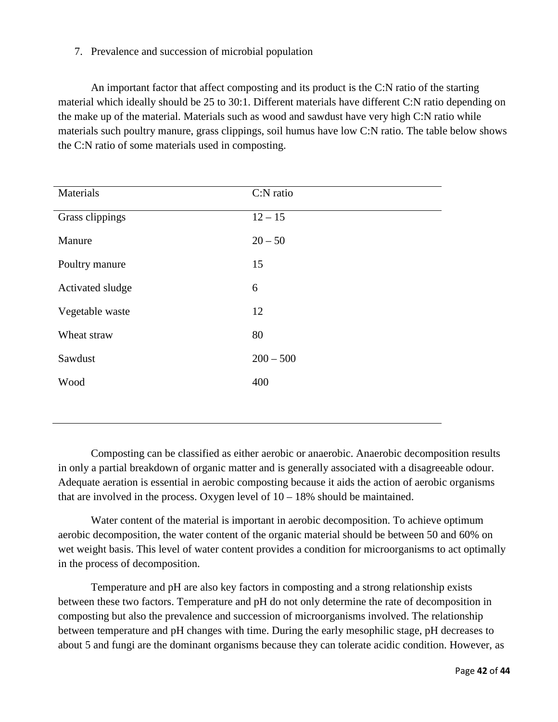## 7. Prevalence and succession of microbial population

An important factor that affect composting and its product is the C:N ratio of the starting material which ideally should be 25 to 30:1. Different materials have different C:N ratio depending on the make up of the material. Materials such as wood and sawdust have very high C:N ratio while materials such poultry manure, grass clippings, soil humus have low C:N ratio. The table below shows the C:N ratio of some materials used in composting.

| Materials        | C:N ratio   |
|------------------|-------------|
| Grass clippings  | $12 - 15$   |
| Manure           | $20 - 50$   |
| Poultry manure   | 15          |
| Activated sludge | 6           |
| Vegetable waste  | 12          |
| Wheat straw      | 80          |
| Sawdust          | $200 - 500$ |
| Wood             | 400         |
|                  |             |

Composting can be classified as either aerobic or anaerobic. Anaerobic decomposition results in only a partial breakdown of organic matter and is generally associated with a disagreeable odour. Adequate aeration is essential in aerobic composting because it aids the action of aerobic organisms that are involved in the process. Oxygen level of  $10 - 18\%$  should be maintained.

Water content of the material is important in aerobic decomposition. To achieve optimum aerobic decomposition, the water content of the organic material should be between 50 and 60% on wet weight basis. This level of water content provides a condition for microorganisms to act optimally in the process of decomposition.

Temperature and pH are also key factors in composting and a strong relationship exists between these two factors. Temperature and pH do not only determine the rate of decomposition in composting but also the prevalence and succession of microorganisms involved. The relationship between temperature and pH changes with time. During the early mesophilic stage, pH decreases to about 5 and fungi are the dominant organisms because they can tolerate acidic condition. However, as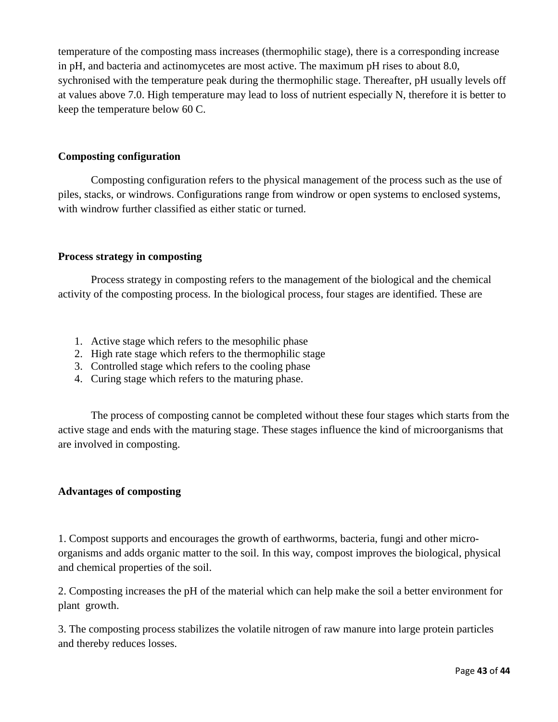temperature of the composting mass increases (thermophilic stage), there is a corresponding increase in pH, and bacteria and actinomycetes are most active. The maximum pH rises to about 8.0, sychronised with the temperature peak during the thermophilic stage. Thereafter, pH usually levels off at values above 7.0. High temperature may lead to loss of nutrient especially N, therefore it is better to keep the temperature below 60 C.

## **Composting configuration**

Composting configuration refers to the physical management of the process such as the use of piles, stacks, or windrows. Configurations range from windrow or open systems to enclosed systems, with windrow further classified as either static or turned.

#### **Process strategy in composting**

Process strategy in composting refers to the management of the biological and the chemical activity of the composting process. In the biological process, four stages are identified. These are

- 1. Active stage which refers to the mesophilic phase
- 2. High rate stage which refers to the thermophilic stage
- 3. Controlled stage which refers to the cooling phase
- 4. Curing stage which refers to the maturing phase.

The process of composting cannot be completed without these four stages which starts from the active stage and ends with the maturing stage. These stages influence the kind of microorganisms that are involved in composting.

#### **Advantages of composting**

1. Compost supports and encourages the growth of earthworms, bacteria, fungi and other microorganisms and adds organic matter to the soil. In this way, compost improves the biological, physical and chemical properties of the soil.

2. Composting increases the pH of the material which can help make the soil a better environment for plant growth.

3. The composting process stabilizes the volatile nitrogen of raw manure into large protein particles and thereby reduces losses.